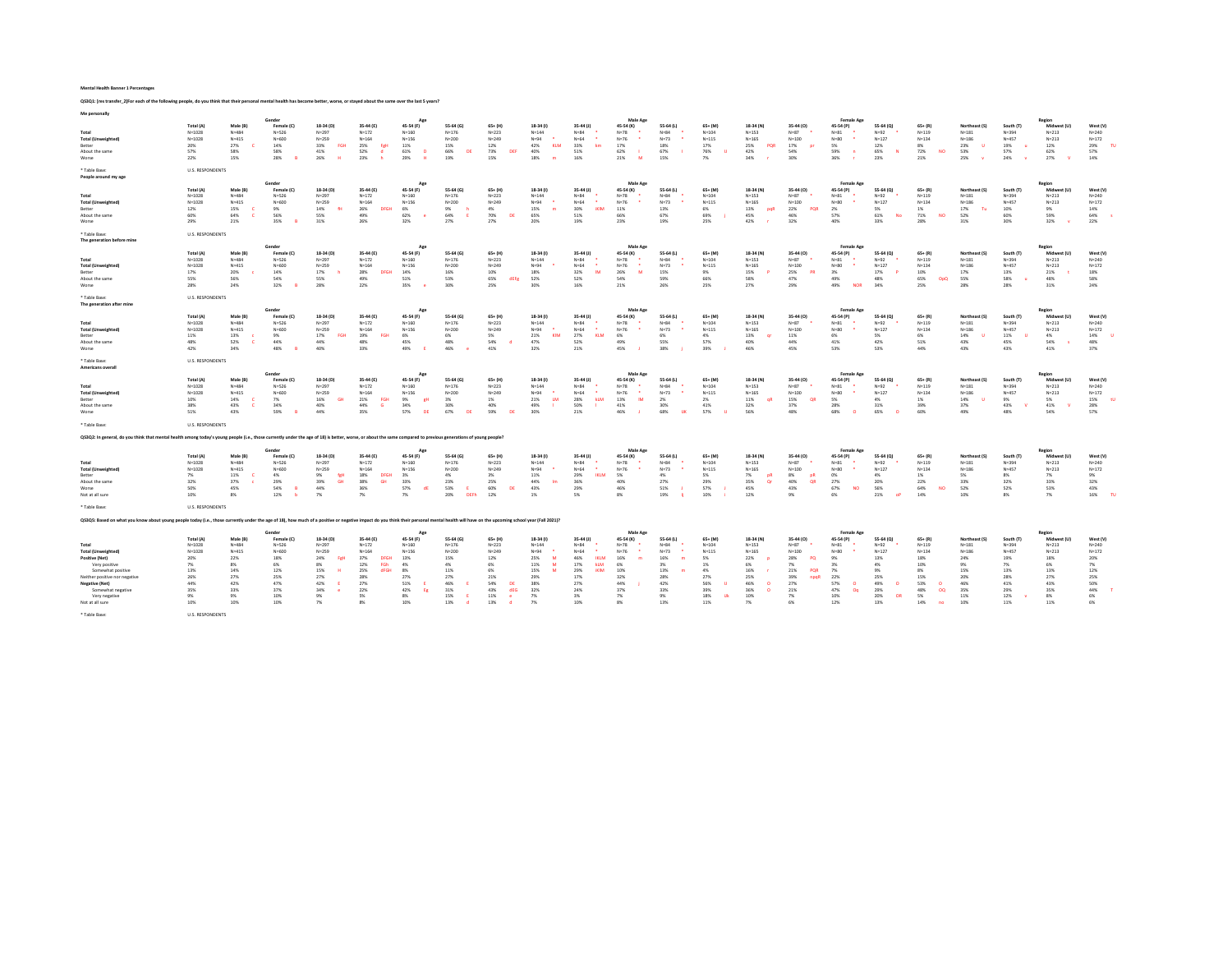Mental Health Banner 1 Percentages

QS3Q1: [res transfer\_2]For each of the following people, do you think that their personal mental health has become better, worse, or stayed about the same over the last 5 years?

| Me personally                                                                                                                                                                                                                  |                                                                                                                               |                                                                                           |                                                                                                       |                                                                                                                         |                                                                                                                                       |                                                                                                       |                                                                                                            |                                                                                                                                              |                                                                                                         |                                                                                                                                                   |                                                                                                       |                                                                                                  |                                                                                                              |                                                                                              |                                                                                                                    |                                                                                                                                                |                                                                                                |                                                                                                                           |                                                                                                   |                                                                                                 |                                                                                                       |                                                                                         |
|--------------------------------------------------------------------------------------------------------------------------------------------------------------------------------------------------------------------------------|-------------------------------------------------------------------------------------------------------------------------------|-------------------------------------------------------------------------------------------|-------------------------------------------------------------------------------------------------------|-------------------------------------------------------------------------------------------------------------------------|---------------------------------------------------------------------------------------------------------------------------------------|-------------------------------------------------------------------------------------------------------|------------------------------------------------------------------------------------------------------------|----------------------------------------------------------------------------------------------------------------------------------------------|---------------------------------------------------------------------------------------------------------|---------------------------------------------------------------------------------------------------------------------------------------------------|-------------------------------------------------------------------------------------------------------|--------------------------------------------------------------------------------------------------|--------------------------------------------------------------------------------------------------------------|----------------------------------------------------------------------------------------------|--------------------------------------------------------------------------------------------------------------------|------------------------------------------------------------------------------------------------------------------------------------------------|------------------------------------------------------------------------------------------------|---------------------------------------------------------------------------------------------------------------------------|---------------------------------------------------------------------------------------------------|-------------------------------------------------------------------------------------------------|-------------------------------------------------------------------------------------------------------|-----------------------------------------------------------------------------------------|
| Total<br><b>Total (Unweighted)</b><br>Better<br>About the same<br>Worse                                                                                                                                                        | Total (A)<br>$N = 1028$<br>$N = 1028$<br>20%<br>57%<br>22%                                                                    | Male (B)<br>$N = 484$<br>$N = 415$<br>27%<br>58%<br>15%                                   | Female (C)<br>$N = 526$<br>$N = 600$<br>14%<br>58%<br>28%                                             | 18-34 (D)<br>$N = 297$<br>$N = 259$<br>33%<br>EGH<br>41%<br>26%<br>$\mathbf{H}$                                         | 35-44 (E)<br>$N = 172$<br>$N = 164$<br>25%<br>Feb<br>52%<br>23%                                                                       | App<br>45-54 (F)<br>$N = 160$<br>$N = 156$<br>11%<br>61%<br>$\mathbf{D}$<br>29%<br>-84                | 55-64 (G<br>$N = 176$<br>$N = 200$<br>15%<br>66%<br>DE<br>19%                                              | $65+ (H)$<br>$N = 223$<br>$N = 249$<br>12%<br>73%<br><b>DEF</b><br>15%                                                                       | 18-34 (f)<br>$N = 144$<br>$N = 94$<br>42%<br>KLM<br>40%<br>18%<br>m                                     | 35-44 (J)<br>$N = 84$<br>$N = 64$<br>33%<br>km<br>51%<br>16%                                                                                      | Male Age<br>45-54 (K)<br>$N = 78$<br>$N = 76$<br>17%<br>62%<br>21%<br>M                               | 55-64 (L)<br>$N = 84$<br>$N = 73$<br>18%<br>67%<br>15%                                           | $65+$ (M)<br>$N = 104$<br>$N = 115$<br>17%<br>76%<br>- U<br>7%                                               | 18-34 (N)<br>$N = 153$<br>$N = 165$<br>PQR<br>25%<br>42%<br>34%                              | 35-44 (0)<br>$N=87$<br>$N = 100$<br>17%<br>54%<br>30%                                                              | <b>Female Age</b><br>45-54 (P)<br>$N = 81$<br>$N = 80$<br>5%<br>59%<br>$\blacksquare$<br>36%                                                   | 55-64 (Q)<br>$N = 92$<br>$N = 127$<br>12%<br>65%<br><b>N</b><br>23%                            | $65+$ $(R)$<br>$N = 119$<br>$N = 134$<br>8%<br>72%<br><b>NO</b><br>21%                                                    | Northeast (S<br>$N = 181$<br>$N = 186$<br>23%<br>-U<br>53%<br>25%<br>$\mathbf{v}$                 | South (T)<br>$N = 394$<br>$N = 457$<br>19%<br>57%<br>24%<br>$\mathbf{v}$                        | tegior<br>Midwest (1<br>$N = 213$<br>$N = 213$<br>12%<br>62%<br>27%                                   | West (V)<br>$N = 240$<br>$N = 172$<br>29%<br>m<br>57%<br>14%                            |
| * Table Base:<br>People around my age                                                                                                                                                                                          | <b>U.S. RESPONDENTS</b>                                                                                                       |                                                                                           |                                                                                                       |                                                                                                                         |                                                                                                                                       |                                                                                                       |                                                                                                            |                                                                                                                                              |                                                                                                         |                                                                                                                                                   |                                                                                                       |                                                                                                  |                                                                                                              |                                                                                              |                                                                                                                    |                                                                                                                                                |                                                                                                |                                                                                                                           |                                                                                                   |                                                                                                 |                                                                                                       |                                                                                         |
| Total<br>Total (Unweighted)<br>Better<br>About the same<br>Worse                                                                                                                                                               | Total (A)<br>$N = 1028$<br>$N = 1028$<br>12%<br>60%<br>29%                                                                    | Male (B)<br>$N = 48.4$<br>$N = 415$<br>15%<br>64%<br>21%                                  | Gender<br>Female (C)<br>$N = 526$<br>$N = 600$<br>9%<br>56%<br>35%                                    | 18-34 (D)<br>$N = 297$<br>$N = 259$<br>14%<br>$-64$<br>55%<br>31%                                                       | 35-44 (E)<br>$N = 172$<br>$N = 164$<br>26%<br>49%<br>26%                                                                              | Age<br>45-54 (F)<br>$N = 160$<br>$N=156$<br>6%<br>62%<br>32%                                          | 55-64 (G)<br>$N = 176$<br>$N = 200$<br>9%<br>-6<br>64%<br>27%                                              | $65+ (H)$<br>$N = 223$<br>$N = 249$<br>4%<br>70%<br>DE<br>27%                                                                                | 18-34 (1)<br>$N = 1.4.4$<br>$N = 9.4$<br>15%<br>m<br>65%<br>20%                                         | $35-44$ (J)<br>$N = 84$<br>$\bullet$<br>$N = 64$<br>30%<br><b>IKIM</b><br>51%<br>19%                                                              | Male Age<br>45-54 (K)<br>$N = 78$<br>$N = 76$<br>11%<br>66%<br>23%                                    | 55-64 (L)<br>$N = 8.4$<br>$N = 73$<br>13%<br>67%<br>19%                                          | $65+ (M)$<br>$N = 104$<br>$N = 115$<br>6%<br>69%<br>25%                                                      | 18-34 (N)<br>$N = 153$<br>$N=165$<br>13%<br>paR<br>45%<br>42%                                | 35-44 (O)<br>$N=87$<br>$N = 100$<br>22%<br>POR<br>46%<br>32%                                                       | Female Age<br>45-54 (P)<br>$N = 81$<br>$N = R0$<br>2%<br>57%<br>40%                                                                            | 55-64 (Q)<br>$N=92$<br>$N = 127$<br>5%<br>61%<br>No<br>33%                                     | $65 + (R)$<br>$N = 119$<br>$N = 134$<br>1%<br>71%<br><b>NO</b><br>28%                                                     | Northeast (S)<br>$N = 181$<br>$N = 1.86$<br>17%<br>$T_{\rm H}$<br>52%<br>31%                      | South (T)<br>$N = 394$<br>$N = 457$<br>10%<br>60%<br>30%                                        | Region<br>Midwest (U)<br>$N = 213$<br>$N = 213$<br>$9\%$<br>59%<br>32%                                | West (V)<br>$N = 240$<br>$N = 172$<br>14%<br>64%<br>22%                                 |
| * Table Base:<br>The generation before mine                                                                                                                                                                                    | <b>U.S. RESPONDENTS</b>                                                                                                       |                                                                                           |                                                                                                       |                                                                                                                         |                                                                                                                                       |                                                                                                       |                                                                                                            |                                                                                                                                              |                                                                                                         |                                                                                                                                                   |                                                                                                       |                                                                                                  |                                                                                                              |                                                                                              |                                                                                                                    |                                                                                                                                                |                                                                                                |                                                                                                                           |                                                                                                   |                                                                                                 |                                                                                                       |                                                                                         |
| Total<br><b>Total (Unweighted)</b><br>Better<br>About the same<br>Worse                                                                                                                                                        | Total (A)<br>$N = 1028$<br>$N = 1028$<br>17%<br>55%<br>28%                                                                    | Male (B)<br>$N = 484$<br>$N = 415$<br>20%<br>56%<br>24%                                   | Gender<br>Female (C)<br>$N = 526$<br>$N = 600$<br>14%<br>54%<br>32%<br>$\overline{R}$                 | 18-34 (D)<br>$N = 297$<br>$N = 259$<br>17%<br>-6<br>55%<br>28%                                                          | 35-44 (F)<br>$N = 172$<br>$N = 164$<br>28%<br><b>DFGH</b><br>49%<br>22%                                                               | Acc<br>45-54 (F)<br>$N = 160$<br>$N = 156$<br>14%<br>51%<br>35%<br><b>CO</b>                          | 55.64 (6)<br>$N = 176$<br>$N = 200$<br>16%<br>53%<br>30%                                                   | $65 + (H)$<br>$N = 223$<br>$N = 249$<br>10%<br>65%<br>dEFg<br>25%                                                                            | 18-34 (1)<br>$N = 144$<br>$N = 94$<br>18%<br>52%<br>30%                                                 | 35-44 (1)<br>$N = 84$<br>$N = 64$<br>٠<br>32%<br><b>IM</b><br>52%<br>16%                                                                          | Male Acc<br>45-54 (K)<br>$N = 78$<br>$N = 76$<br>26%<br>M<br>54%<br>21%                               | 55-64 (L)<br>$N = 84$<br>$N = 73$<br>15%<br>59%<br>26%                                           | $65 + (M)$<br>$N = 104$<br>$N = 115$<br>9%<br>66%<br>25%                                                     | 18-34 (N)<br>$N = 153$<br>$N = 165$<br>15%<br>58%<br>27%                                     | 35-44 (0)<br>$N=87$<br>$N = 100$<br>25%<br>PR<br>47%<br>29%                                                        | <b>Female Age</b><br>45-54 (P)<br>$N = 81$<br>$N = 80$<br>$\bullet$<br>3%<br>49%<br><b>NOR</b><br>49%                                          | 55.64 (0)<br>$N=92$<br>$N = 127$<br>17%<br>48%<br>34%                                          | $65 + [R]$<br>$N = 119$<br>$N = 134$<br>10%<br>65%<br>OpO<br>25%                                                          | Northeast (S)<br>$N = 181$<br>$N = 186$<br>17%<br>55%<br>28%                                      | South (T)<br>$N = 394$<br>$N = 457$<br>13%<br>58%<br>- 11<br>28%                                | Region<br>Midwest (U)<br>$N = 213$<br>$N = 213$<br>21%<br>48%<br>31%                                  | West (V)<br>$N = 240$<br>$N = 172$<br>18%<br>58%<br>24%                                 |
| * Table Rase:<br>The generation after mine                                                                                                                                                                                     | <b>U.S. RESPONDENTS</b>                                                                                                       |                                                                                           |                                                                                                       |                                                                                                                         |                                                                                                                                       |                                                                                                       |                                                                                                            |                                                                                                                                              |                                                                                                         |                                                                                                                                                   |                                                                                                       |                                                                                                  |                                                                                                              |                                                                                              |                                                                                                                    |                                                                                                                                                |                                                                                                |                                                                                                                           |                                                                                                   |                                                                                                 |                                                                                                       |                                                                                         |
| Total<br><b>Total (Unweighted)</b><br>Better<br>About the same<br><b>Worce</b>                                                                                                                                                 | Total (A)<br>$N = 1028$<br>$N = 1028$<br>11%<br>48%<br>42%                                                                    | Male (B)<br>$N = 48.4$<br>$N = 415$<br>13%<br>52%<br>- c<br>34%                           | Gender<br>Female (C)<br>$N = 526$<br>$Ne=600$<br>9%<br>44%<br>48%<br>$\mathbf{r}$                     | 18-34 (D)<br>$N = 297$<br>$N = 259$<br>17%<br>EGH<br>44%<br>40%                                                         | 35-44 (E)<br>$N = 172$<br>$N = 164$<br>19%<br>EGH<br>48%<br>33%                                                                       | App<br>45-54 (F)<br>$N = 160$<br>$N=156$<br>6%<br>45%<br>49%                                          | 55-64 (G<br>$N = 176$<br>$N = 200$<br>6%<br>48%<br>46%                                                     | $65+ (H)$<br>$N = 223$<br>$N = 249$<br>5%<br>54%<br>41%                                                                                      | 18-34 (1)<br>$N = 144$<br>$N = 94$<br>21%<br>KIM<br>47%<br>32%                                          | $35-44$ (J)<br>$N = 84$<br>$N = 64$<br>27%<br>KLM<br>52%<br>21%                                                                                   | Male Age<br>45-54 (K)<br>$N = 78$<br>$N = 76$<br>6%<br>49%<br>45%                                     | 55-64 (L)<br>$N = 84$<br>$N = 73$<br>6%<br>55%<br>38%                                            | $65+ (M)$<br>$N = 104$<br>$N = 115$<br>4%<br>57%<br>39%                                                      | 18-34 (N)<br>$N = 153$<br>$N = 165$<br>13%<br><b>ar</b><br>40%<br>46%                        | 35-44 (O)<br>$N=87$<br>$N = 100$<br>11%<br>44%<br>45%                                                              | Female Age<br>45-54 (P)<br>$N = 81$<br>$N = 80$<br>6%<br>41%<br>53%                                                                            | 55-64 (Q)<br>$N = 92$<br>$N = 127$<br>5%<br>42%<br>53%                                         | $65 + (R)$<br>$N = 119$<br>$N = 124$<br>6%<br>51%<br>44%                                                                  | Northeast (S<br>$N = 181$<br>$N = 1.86$<br>14%<br>- u<br>43%<br>43%                               | South (1<br>$N = 394$<br>$N = 457$<br>11%<br>45%<br>43%                                         | Region<br>Midwest (L<br>$N = 213$<br>$N = 213$<br>4%<br>54%<br>41%                                    | West (V)<br>$N = 240$<br>$N = 172$<br>14%<br>- 11<br>48%<br>37%                         |
| * Table Base:<br>Americans overall                                                                                                                                                                                             | <b>U.S. RESPONDENTS</b>                                                                                                       |                                                                                           |                                                                                                       |                                                                                                                         |                                                                                                                                       |                                                                                                       |                                                                                                            |                                                                                                                                              |                                                                                                         |                                                                                                                                                   |                                                                                                       |                                                                                                  |                                                                                                              |                                                                                              |                                                                                                                    |                                                                                                                                                |                                                                                                |                                                                                                                           |                                                                                                   |                                                                                                 |                                                                                                       |                                                                                         |
| Total<br><b>Total (Unweighted)</b><br>Retter<br>About the same<br>Worse                                                                                                                                                        | Total (A)<br>$N = 1028$<br>$N = 1028$<br>10%<br>38%<br>51%                                                                    | Male (B)<br>$N = 484$<br>$N = 415$<br>$14\%$<br>43%<br>$\epsilon$<br>43%                  | Gender<br>Female (C)<br>$N = 526$<br>$N = 600$<br>7%<br>34%<br>59%                                    | 18-34 (D)<br>$N = 297$<br>$N = 259$<br>16%<br><b>GH</b><br>40%<br>44%                                                   | 35-44 (F)<br>$N = 172$<br>$N = 164$<br>21%<br>EGH<br>44%<br><b>G</b><br>35%                                                           | Age<br>45-54 (F)<br>$N = 160$<br>$N=156$<br>9%<br><b>CH</b><br>34%<br>57%<br>DE                       | 55-64 (6)<br>$N = 176$<br>$N = 200$<br>3%<br>30%<br>67%<br><b>DE</b>                                       | $65 + (H)$<br>$N = 223$<br>$N = 249$<br>1%<br>40%<br>59%<br>DE                                                                               | 18-34 (1)<br>$N = 1.44$<br>$N = 9.4$<br>21%<br><b>TM</b><br>49%<br>30%                                  | 35-44 (1)<br>$N = 84$<br>$N = 64$<br>28%<br><b>MA</b><br>50%<br>21%                                                                               | Male Acc<br>45-54 (K)<br>$N = 78$<br>$N = 76$<br>13%<br><b>IM</b><br>41%<br>46%                       | 55-64 (L)<br>$N = 84$<br>$N = 73$<br>2%<br>30%<br>68%<br><b>UK</b>                               | $65 + (M)$<br>$N = 104$<br>$N = 115$<br>2%<br>41%<br>57%                                                     | 18-34 (N)<br>$N = 153$<br>$N = 165$<br>$11\%$<br>oR<br>32%<br>56%                            | 35-44 (0)<br>$N = 87$<br>$N = 100$<br>15%<br>OR<br>37%<br>48%                                                      | <b>Female Age</b><br>45-54 (P)<br>$N = 81$<br>×<br>$N = R0$<br>5%<br>28%<br>68%<br>$\circ$                                                     | 55-64 (Q)<br>$N=92$<br>$N = 127$<br>4%<br>31%<br>65%                                           | $65 + [R]$<br>$N = 119$<br>$N = 134$<br>1%<br>39%<br>60%                                                                  | Northeast (S)<br>$N = 181$<br>$N = 1.86$<br>14%<br>- 11<br>37%<br>49%                             | South (T)<br>$N = 394$<br>$N = 457$<br>9%<br>43%<br>48%                                         | Region<br>Midwest (U)<br>$N = 213$<br>$N = 213$<br>5%<br>41%<br>54%                                   | West (V)<br>$N = 240$<br>$N = 172$<br>15%<br>28%<br>57%                                 |
| * Table Base                                                                                                                                                                                                                   | <b>U.S. RESPONDENTS</b>                                                                                                       |                                                                                           |                                                                                                       |                                                                                                                         |                                                                                                                                       |                                                                                                       |                                                                                                            |                                                                                                                                              |                                                                                                         |                                                                                                                                                   |                                                                                                       |                                                                                                  |                                                                                                              |                                                                                              |                                                                                                                    |                                                                                                                                                |                                                                                                |                                                                                                                           |                                                                                                   |                                                                                                 |                                                                                                       |                                                                                         |
| Q\$3Q2: In general, do you think that mental health among today's young people (i.e., those currently under the age of 18) is better, worse, or about the same compared to previous generations of young people?               |                                                                                                                               |                                                                                           |                                                                                                       |                                                                                                                         |                                                                                                                                       |                                                                                                       |                                                                                                            |                                                                                                                                              |                                                                                                         |                                                                                                                                                   |                                                                                                       |                                                                                                  |                                                                                                              |                                                                                              |                                                                                                                    |                                                                                                                                                |                                                                                                |                                                                                                                           |                                                                                                   |                                                                                                 |                                                                                                       |                                                                                         |
| Total<br><b>Total (Unweighted)</b><br>Retter<br>About the same<br>Worse<br>Not at all sure                                                                                                                                     | Total (A)<br>$N = 1028$<br>$N = 1028$<br>7%<br>32%<br>50%<br>10%                                                              | Male (B)<br>$N = 484$<br>$N = 415$<br>11%<br>37%<br>45%<br>8%                             | Gender<br>Female (C)<br>$N = 526$<br>$N = 600$<br>4%<br>29%<br>54%<br>B<br>12%                        | 18-34 (D)<br>$N = 297$<br>$N = 259$<br>9%<br>fel<br>39%<br><b>GH</b><br>44%<br>7%                                       | 35-44 (E)<br>$N = 172$<br>$N = 164$<br>18%<br>DEGH<br>38%<br>GH<br>36%<br>7%                                                          | Acc<br>45-54 (F)<br>$N = 160$<br>$N = 156$<br>3%<br>33%<br>57%<br>dE<br>7%                            | 55-64 (G)<br>$N = 176$<br>$N = 200$<br>4%<br>23%<br>53%<br>20%<br><b>DEFh</b>                              | $65+ (H)$<br>$N = 223$<br>$N = 249$<br>$3\%$<br>25%<br>60%<br>DE<br>12%                                                                      | 18-34 (1)<br>$N = 144$<br>$N = 94$<br>11%<br>44%<br>1m<br>43%<br>$1\%$                                  | $35-44$ (J)<br>$N = 84$<br>$N = 64$<br>29%<br><b>DOM</b><br>36%<br>29%<br>5%                                                                      | Male Age<br>45-54 (K)<br>$N=78$<br>$N = 76$<br>5%<br>40%<br>46%<br>8%                                 | 55-64 (L)<br>$N = 84$<br>$N=73$<br>4%<br>27%<br>51%<br>19%<br>n.                                 | $65+ (M)$<br>$N = 104$<br>$N = 115$<br>5%<br>29%<br>57%<br><b>D</b><br>10%                                   | 18-34 (N)<br>$N = 153$<br>$N = 165$<br>7%<br><b>DR</b><br>35%<br><b>Or</b><br>45%<br>12%     | 35-44 (O)<br>$N = 87$<br>$N = 100$<br>8%<br>pR<br>40%<br>OR<br>43%<br>9%                                           | Female Age<br>45-54 (P)<br>$N = 81$<br>$N = 80$<br>0%<br>27%<br><b>NO</b><br>67%<br>6%                                                         | 55-64 (0)<br>$N = 92$<br>$N = 127$<br>4%<br>20%<br>56%<br>21%<br>oP                            | $65 + (R)$<br>$N = 119$<br>$N = 134$<br>1%<br>22%<br>64%<br><b>NO</b><br>14%                                              | Northeast (S)<br>$N = 181$<br>$N = 186$<br>5%<br>33%<br>52%<br>10%                                | South (T)<br>$N = 394$<br>$N = 457$<br>8%<br>32%<br>52%<br>$8\%$                                | Region<br>Midwest (U)<br>$N = 213$<br>$N = 213$<br>7%<br>33%<br>53%<br>7%                             | West (V)<br>$N = 240$<br>$N = 172$<br>9%<br>32%<br>43%<br>16%<br>TU                     |
| * Table Base:                                                                                                                                                                                                                  | <b>U.S. RESPONDENTS</b>                                                                                                       |                                                                                           |                                                                                                       |                                                                                                                         |                                                                                                                                       |                                                                                                       |                                                                                                            |                                                                                                                                              |                                                                                                         |                                                                                                                                                   |                                                                                                       |                                                                                                  |                                                                                                              |                                                                                              |                                                                                                                    |                                                                                                                                                |                                                                                                |                                                                                                                           |                                                                                                   |                                                                                                 |                                                                                                       |                                                                                         |
| Q53Q5: Based on what you know about young people today (i.e., those currently under the age of 18), how much of a positive or negative impact do you think their personal mental health will have on the upcoming school year  |                                                                                                                               |                                                                                           |                                                                                                       |                                                                                                                         |                                                                                                                                       |                                                                                                       |                                                                                                            |                                                                                                                                              |                                                                                                         |                                                                                                                                                   |                                                                                                       |                                                                                                  |                                                                                                              |                                                                                              |                                                                                                                    |                                                                                                                                                |                                                                                                |                                                                                                                           |                                                                                                   |                                                                                                 |                                                                                                       |                                                                                         |
| Total<br><b>Total (Unweighted)</b><br>Positive (Net)<br>Very positive<br>Somewhat positive<br>Neither nositive nor negative<br><b>Negative (Net)</b><br>Somewhat negative<br>Very negative<br>Not at all sure<br>* Table Base: | <b>Total (A)</b><br>$N = 1028$<br>$N = 1028$<br>20%<br>7%<br>13%<br>26%<br>44%<br>35%<br>9%<br>10%<br><b>U.S. RESPONDENTS</b> | Male (B)<br>$N = 48.4$<br>$N = 415$<br>22%<br>8%<br>14%<br>27%<br>42%<br>33%<br>9%<br>10% | Gender<br>Female (C)<br>$N = 526$<br>$N = 600$<br>18%<br>6%<br>12%<br>25%<br>47%<br>37%<br>10%<br>10% | 18-34 (D)<br>$N = 297$<br>$N = 259$<br>24%<br>Fel<br>$8\%$<br>15%<br>27%<br>42%<br>-F.<br>34%<br>$\epsilon$<br>9%<br>7% | 35-44 (E)<br>$N = 172$<br>$N = 164$<br>37%<br><b>DFGH</b><br>12%<br>EGh<br>25%<br><b>dFGH</b><br><b>28%</b><br>27%<br>22%<br>5%<br>8% | Arc<br>45-54 (F)<br>$N = 160$<br>$N = 156$<br>13%<br>4%<br>8%<br>27%<br>51%<br>42%<br>Eg<br>8%<br>10% | 55-64 (G<br>$N = 176$<br>$N = 200$<br>15%<br>$4\%$<br>11%<br>27%<br>46%<br>31%<br>15%<br>-E<br>13%<br>- di | $65 + (H)$<br>$N = 223$<br>$N = 249$<br>12%<br>6%<br>6%<br>21%<br>54%<br><b>DF</b><br>43%<br>dEG<br>11%<br>$\epsilon$<br>13%<br>$\mathbf{d}$ | 18-34 (f)<br>$N = 144$<br>$N = 94$<br>25%<br>M<br>11%<br>M<br>15%<br>M<br>29%<br>38%<br>32%<br>7%<br>7% | 35-44 (J)<br>$N = 84$<br>$N = 64$<br>$\bullet$<br>46%<br><b>IKLN</b><br>17%<br><b>kLM</b><br>29%<br><b>IKIM</b><br>17%<br>27%<br>24%<br>3%<br>10% | Male Age<br>45-54 (K)<br>$N=78$<br>$N = 76$<br>16%<br>m<br>6%<br>10%<br>32%<br>44%<br>37%<br>7%<br>8% | 55-64 (L)<br>$N = 8.4$<br>$N = 73$<br>16%<br>m<br>$3\%$<br>13%<br>28%<br>42%<br>33%<br>9%<br>13% | $65 + (M)$<br>$N = 104$<br>$N = 115$<br>5%<br>1%<br>4%<br>27%<br>56%<br>J.<br>39%<br>18%<br><b>Uk</b><br>11% | 18-34 (N)<br>$N = 153$<br>$N = 165$<br>22%<br>$6\%$<br>16%<br>25%<br>46%<br>36%<br>10%<br>7% | 35-44 (0)<br>$N=87$<br>$N = 100$<br>28%<br>PO.<br>7%<br>PQR<br>21%<br><b>29%</b><br>nnnR<br>27%<br>21%<br>7%<br>6% | Female Ag<br>45-54 (P)<br>$N = 81$<br>$N = 80$<br>$\bullet$<br>9%<br>3%<br>7%<br>22%<br>57%<br>$\Omega$<br>47%<br>0 <sub>0</sub><br>10%<br>12% | 55-64 (Q)<br>$N = 92$<br>$N = 127$<br>13%<br>4%<br>9%<br>25%<br>49%<br>29%<br>20%<br>OR<br>13% | $65 + (R)$<br>$N = 119$<br>$N = 134$<br>18%<br>10%<br>8%<br>15%<br>53%<br>$\Omega$<br>48%<br>00<br>5%<br>14%<br><b>DO</b> | Northeast (S)<br>$N = 181$<br>$N = 186$<br>24%<br>$9\%$<br>15%<br>20%<br>46%<br>35%<br>11%<br>10% | South (T<br>$N = 394$<br>N=457<br>19%<br>$7\%$<br>13%<br><b>28%</b><br>41%<br>29%<br>12%<br>11% | Region<br>Midwest (U)<br>$N = 213$<br>$N = 213$<br>18%<br>6%<br>13%<br>27%<br>43%<br>35%<br>8%<br>11% | West (V)<br>$N = 240$<br>$N = 172$<br>20%<br>7%<br>12%<br>25%<br>50%<br>44%<br>6%<br>6% |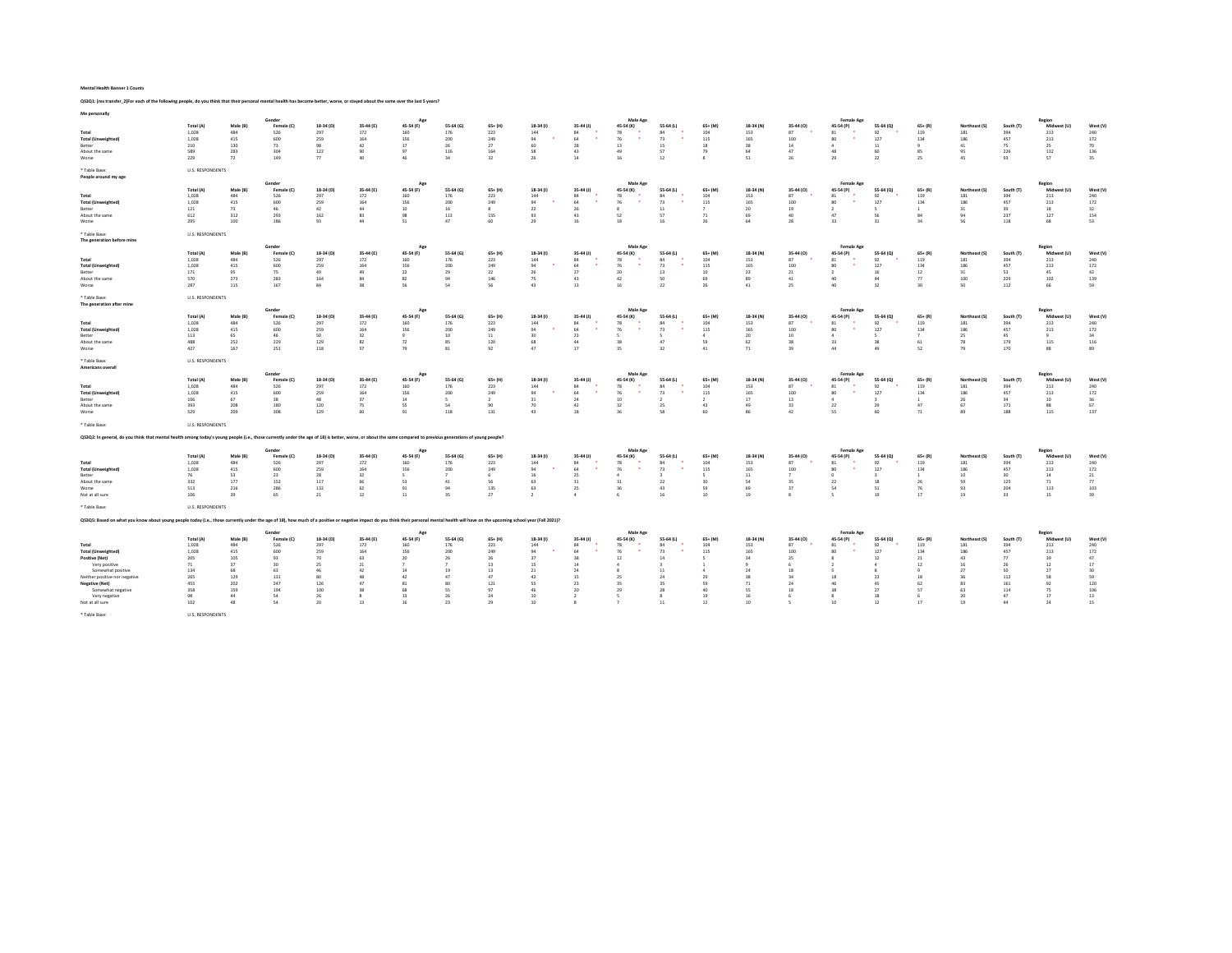Mental Health Banner 1 Counts

QS3Q1: [res transfer\_2]For each of the following people, do you think that their personal mental health has become better, worse, or stayed about the same over the last 5 years?

| Me personally                                                                                                                                                                                                                  |                                                                                                              |                                                                            |                                                                                          |                                                                                        |                                                                                         |                                                                                     |                                                                              |                                                                          |                                                                                      |                                                                            |                                                                   |                                                                                     |                                                                   |                                                                                     |                                                                    |                                                                                           |                                                                                  |                                                                                   |                                                                             |                                                                            |                                                                                         |                                                                          |
|--------------------------------------------------------------------------------------------------------------------------------------------------------------------------------------------------------------------------------|--------------------------------------------------------------------------------------------------------------|----------------------------------------------------------------------------|------------------------------------------------------------------------------------------|----------------------------------------------------------------------------------------|-----------------------------------------------------------------------------------------|-------------------------------------------------------------------------------------|------------------------------------------------------------------------------|--------------------------------------------------------------------------|--------------------------------------------------------------------------------------|----------------------------------------------------------------------------|-------------------------------------------------------------------|-------------------------------------------------------------------------------------|-------------------------------------------------------------------|-------------------------------------------------------------------------------------|--------------------------------------------------------------------|-------------------------------------------------------------------------------------------|----------------------------------------------------------------------------------|-----------------------------------------------------------------------------------|-----------------------------------------------------------------------------|----------------------------------------------------------------------------|-----------------------------------------------------------------------------------------|--------------------------------------------------------------------------|
| Total<br><b>Total (Unweighted)</b><br>Better<br>About the same<br>Worse                                                                                                                                                        | Total (A)<br>1,028<br>1,028<br>210<br>589<br>229                                                             | Male (B)<br>484<br>415<br>130<br>283<br>72                                 | Gende<br>Female (C)<br>526<br>600<br>73<br>304<br>149                                    | 18-34 (D)<br>297<br>259<br>98<br>122<br>77                                             | 35-44 (E)<br>172<br>164<br>42<br>90<br>40                                               | Ago<br>45-54 (F)<br>160<br>156<br>17<br>97<br>46                                    | 55-64 (G)<br>176<br>200<br>26<br>116<br>34                                   | $65+ (H)$<br>223<br>249<br>27<br>164<br>32                               | 18-34 (1)<br>144<br>94<br>60<br>58<br>26                                             | 35-44 (J)<br>84<br>64<br>28<br>43<br>14                                    | Male Age<br>45-54 (K)<br>78<br>76<br>. .<br>13<br>49<br>16        | 55-64 (L)<br>84<br>73<br>15<br>57<br>12                                             | $65+$ (M)<br>104<br>115<br>18<br>79<br>8                          | 18-34 (N)<br>153<br>165<br>38<br>64<br>51                                           | 35-44 (O)<br>87<br>100<br>$14\,$<br>47<br>26                       | <b>Female Age</b><br>45-54 (P)<br>81<br>80<br>٠<br>$\Delta$<br>48<br>29                   | 55-64 (Q)<br>92<br>127<br>11<br>60<br>22                                         | $65 + (R)$<br>119<br>134<br>9<br>85<br>25                                         | Northeast (S)<br>181<br>186<br>41<br>95<br>45                               | South (T)<br>394<br>457<br>75<br>226<br>93                                 | Region<br>Midwest (U)<br>213<br>213<br>25<br>132<br>57                                  | West (V)<br>240<br>172<br>70<br>136<br>35                                |
| * Table Base:<br>People around my age                                                                                                                                                                                          | U.S. RESPONDENTS                                                                                             |                                                                            |                                                                                          |                                                                                        |                                                                                         |                                                                                     |                                                                              |                                                                          |                                                                                      |                                                                            |                                                                   |                                                                                     |                                                                   |                                                                                     |                                                                    |                                                                                           |                                                                                  |                                                                                   |                                                                             |                                                                            |                                                                                         |                                                                          |
| Total<br><b>Total (Unweighted)</b><br>Better<br>About the same<br>Worse                                                                                                                                                        | Total (A)<br>1.028<br>1,028<br>121<br>612<br>295                                                             | Male (B)<br>484<br>415<br>73<br>312<br>100                                 | Gender<br>Female (C)<br>526<br>600<br>46<br>293<br>186                                   | 18-34 (D)<br>297<br>259<br>42<br>162<br>93                                             | 35-44 (E)<br>172<br>164<br>44<br>83<br>44                                               | Ap<br>45-54 (F)<br>160<br>156<br>10<br>98<br>51                                     | 55-64 (G)<br>176<br>200<br>16<br>113<br>47                                   | $65+ (H)$<br>223<br>249<br>$\mathbf{g}$<br>155<br>60                     | 18-34 (1)<br>144<br>94<br>22<br>93<br>29                                             | 35-44 (J)<br>94<br>64<br>26<br>43<br>16                                    | Male Age<br>45-54 (K)<br>78<br>76<br>$\mathbf{s}$<br>52<br>18     | 55-64 (L)<br>84<br>73<br>11<br>57<br>16                                             | $65 + (M)$<br>104<br>115<br>$\mathcal{I}$<br>71<br>26             | 18-34 (N)<br>153<br>165<br>20<br>69<br>64                                           | 35-44 (O)<br>87<br>100<br>19<br>40<br>28                           | <b>Female Age</b><br>45-54 (P)<br>81<br>80 <sub>0</sub><br>$\overline{2}$<br>47<br>33     | 55-64 (Q)<br>92<br>127<br>56<br>31                                               | $65 + (R)$<br>119<br>134<br>$\mathbf{1}$<br>84<br>34                              | Northeast (S)<br>181<br>186<br>31<br>94<br>56                               | South (T)<br>394<br>457<br>39<br>237<br>118                                | Region<br>Midwest (U)<br>213<br>213<br>18<br>127<br>68                                  | West (V)<br>240<br>172<br>32<br>154<br>53                                |
| * Table Base:<br>The generation before mine                                                                                                                                                                                    | <b>U.S. RESPONDENTS</b>                                                                                      |                                                                            |                                                                                          |                                                                                        |                                                                                         |                                                                                     |                                                                              |                                                                          |                                                                                      |                                                                            |                                                                   |                                                                                     |                                                                   |                                                                                     |                                                                    |                                                                                           |                                                                                  |                                                                                   |                                                                             |                                                                            |                                                                                         |                                                                          |
| Total<br><b>Total (Unweighted)</b><br>Better<br>About the same<br>Worse                                                                                                                                                        | Total (A)<br>1,028<br>1,028<br>171<br>570<br>287                                                             | Male (R)<br>484<br>415<br>95<br>273<br>115                                 | Gender<br>Female (C)<br>526<br>600<br>75<br>283<br>167                                   | 18-34 (D)<br>297<br>259<br>49<br>164<br>84                                             | 35-44 (F)<br>172<br>164<br>49<br>84<br>38                                               | Age<br>45-54 (F)<br>160<br>156<br>22<br>82<br>56                                    | 55-64 (6)<br>176<br>200<br>29<br>94<br>54                                    | 65+ (H)<br>223<br>249<br>22<br>146<br>56                                 | 18-34 (0)<br>144<br>94<br>26<br>75<br>43                                             | 35:44 (1)<br>84<br>64<br>27<br>43<br>13                                    | Male Age<br>45-54 (K)<br>78<br>76<br>20<br>42<br>16               | 55-64 (1)<br>84<br>73<br>13<br>50<br>22                                             | 65+ (M)<br>104<br>115<br>10<br>69<br>26                           | 18-34 (N)<br>153<br>165<br>23<br>89<br>41                                           | 35-44 (0)<br>87<br>100<br>21<br>41<br>25                           | <b>Female Age</b><br>45-54 (P)<br>81<br>80<br>$\overline{2}$<br>40<br>40                  | 55-64 (Q)<br>92<br>127<br>16<br>44<br>32                                         | $65 + (R)$<br>119<br>134<br>$12\,$<br>77<br>30 <sub>2</sub>                       | Northeast (S)<br>181<br>186<br>31<br>100<br>50                              | South (T)<br>394<br>457<br>53<br>229<br>112                                | Region<br>Midwest (U)<br>213<br>213<br>45<br>102<br>66                                  | West (V)<br>240<br>172<br>42<br>139<br>59                                |
| * Table Base:<br>The generation after mine                                                                                                                                                                                     | <b>U.S. RESPONDENTS</b>                                                                                      |                                                                            | Gender                                                                                   |                                                                                        |                                                                                         | Ap                                                                                  |                                                                              |                                                                          |                                                                                      |                                                                            | Male Age                                                          |                                                                                     |                                                                   |                                                                                     |                                                                    | <b>Female Age</b>                                                                         |                                                                                  |                                                                                   |                                                                             |                                                                            | Region                                                                                  |                                                                          |
| Total<br><b>Total (Unweighted</b><br>Better<br>About the same<br>Worse                                                                                                                                                         | Total (A)<br>1,028<br>1,028<br>113<br>488<br>427                                                             | Male (B<br>484<br>415<br>65<br>252<br>167                                  | Female (C)<br>526<br>600<br>46<br>229<br>251                                             | 18-34 (D)<br>297<br>259<br>50<br>129<br>118                                            | 35-44 (E)<br>172<br>164<br>32<br>82<br>57                                               | 45-54 (F)<br>160<br>156<br>9<br>72<br>79                                            | 55-64 (G)<br>176<br>200<br>10<br>85<br>81                                    | $65 + (H)$<br>223<br>249<br>11<br>120<br>92                              | 18-34 (1)<br>144<br>94<br>30<br>68<br>47                                             | 35-44 (J)<br>84<br>64<br>23<br>44<br>17                                    | 45-54 (K)<br>78<br>76<br>s<br>28<br>35                            | 55-64 (L)<br>84<br>73<br>47<br>32                                                   | $65+$ (M)<br>104<br>115<br>4<br>59<br>41                          | 18-34 (N)<br>153<br>165<br>20<br>62<br>71                                           | 35-44 (0)<br>87<br>100<br>10<br>38<br>39                           | 45-54 (P)<br>81<br>80<br>Δ<br>33<br>44                                                    | 55-64 (Q)<br>92<br>127<br>38<br>49                                               | $65 + (R)$<br>119<br>134<br>61<br>52                                              | Northeast (S)<br>181<br>186<br>25<br>78<br>79                               | South (T)<br>394<br>457<br>45<br>179<br>170                                | Midw<br>213<br>213<br>9<br>115<br>88                                                    | West (V)<br>240<br>172<br>34<br>116<br>89                                |
| * Table Base:<br>Americans overall                                                                                                                                                                                             | <b>U.S. RESPONDENTS</b>                                                                                      |                                                                            |                                                                                          |                                                                                        |                                                                                         |                                                                                     |                                                                              |                                                                          |                                                                                      |                                                                            |                                                                   |                                                                                     |                                                                   |                                                                                     |                                                                    |                                                                                           |                                                                                  |                                                                                   |                                                                             |                                                                            |                                                                                         |                                                                          |
| Total<br><b>Total (Unweighted)</b><br>Retter<br>About the same<br>Worse                                                                                                                                                        | Total (A)<br>1,028<br>1,028<br>106<br>393<br>529                                                             | Male (B)<br>484<br>415<br>67<br>208<br>209                                 | Gender<br>Female (C)<br>526<br>600<br>38<br>180<br>308                                   | 18-34 (D)<br>297<br>259<br>48<br>120<br>129                                            | 35-44 (E)<br>172<br>164<br>37<br>75<br>60                                               | Age<br>45-54 (F)<br>160<br>156<br>14<br>55<br>91                                    | 55-64 (G)<br>176<br>200<br>$\leq$<br>54<br>118                               | $65+$ (H)<br>223<br>249<br>$\mathcal{L}$<br>90<br>131                    | 18-34 (1)<br>144<br>94<br>31<br>70<br>43                                             | 35-44 (J)<br>84<br>64<br>24<br>42<br>18                                    | Male Age<br>45-54 (K)<br>78<br>76<br>10 <sup>10</sup><br>32<br>36 | 55-64 (L)<br>84<br>73<br>$\rightarrow$<br>25<br>58                                  | $65+$ (M)<br>104<br>115<br>$\mathcal{L}$<br>43<br>60              | 18-34 (N)<br>153<br>165<br>17<br>49<br>86                                           | 35-44 (0)<br>87<br>100<br>13<br>33<br>42                           | <b>Female Age</b><br>45-54 (P)<br>81<br>80<br>$\Delta$<br>22<br>55                        | 55-64 (Q)<br>92<br>127<br>29<br>60                                               | $65 + (R)$<br>119<br>134<br>$\mathbf{1}$<br>47<br>$71\,$                          | Northeast (S)<br>181<br>186<br>26<br>67<br>89                               | South (T)<br>394<br>457<br>24<br>171<br>188                                | Region<br>Midwest (U)<br>213<br>213<br>10 <sup>1</sup><br>88<br>115                     | West (V)<br>240<br>172<br>36<br>67<br>137                                |
| * Table Base:                                                                                                                                                                                                                  | U.S. RESPONDENTS                                                                                             |                                                                            |                                                                                          |                                                                                        |                                                                                         |                                                                                     |                                                                              |                                                                          |                                                                                      |                                                                            |                                                                   |                                                                                     |                                                                   |                                                                                     |                                                                    |                                                                                           |                                                                                  |                                                                                   |                                                                             |                                                                            |                                                                                         |                                                                          |
| Q53Q2: In general, do you think that mental health among today's young people (i.e., those currently under the age of 18) is better, worse, or about the same compared to previous generations of young people?                |                                                                                                              |                                                                            |                                                                                          |                                                                                        |                                                                                         |                                                                                     |                                                                              |                                                                          |                                                                                      |                                                                            |                                                                   |                                                                                     |                                                                   |                                                                                     |                                                                    |                                                                                           |                                                                                  |                                                                                   |                                                                             |                                                                            |                                                                                         |                                                                          |
| Total<br><b>Total (Unweighted)</b><br>Retter<br>About the same<br>Worse<br>Not at all sure                                                                                                                                     | Total (A)<br>1,028<br>1,028<br>76<br>332<br>513<br>106                                                       | Male (B)<br>484<br>415<br>53<br>177<br>216<br>39                           | Gender<br>Female (C)<br>526<br>600<br>23<br>152<br>286<br>65                             | 18-34 (D)<br>297<br>259<br>28<br>117<br>132<br>21                                      | 35-44 (E)<br>172<br>164<br>32<br>66<br>62<br>$12\,$                                     | Am<br>45-54 (F)<br>160<br>156<br>$\sim$<br>53<br>91<br>$11\,$                       | 55-64 (G)<br>176<br>200<br>41<br>94<br>35                                    | $65+ (H)$<br>223<br>249<br>6<br>56<br>135<br>27                          | 18-34 (1)<br>144<br>94<br>16<br>63<br>63<br>$\overline{2}$                           | 35-44 (1)<br>84<br>64<br>25<br>31<br>25<br>$\Lambda$                       | Male Age<br>45-54 (K)<br>78<br>76<br>$\Delta$<br>31<br>36<br>6    | 55-64 (L)<br>84<br>73<br>22<br>43<br>16                                             | $65 + (M)$<br>104<br>115<br>л.<br>30 <sub>2</sub><br>59<br>10     | 18-34 (N)<br>153<br>165<br>11<br>54<br>69<br>19                                     | 35-44 (O)<br>87<br>100<br>35<br>37<br>$\mathbf{R}$                 | Female Ago<br>45-54 (P)<br>81<br>80<br>$\Omega$<br>22<br>54<br>$\overline{\phantom{a}}$   | 55-64 (Q)<br>92<br>127<br>18<br>51<br>19                                         | $65 + (R)$<br>119<br>134<br>л.<br>26<br>76<br>17                                  | Northeast (S)<br>181<br>186<br>10<br>59<br>93<br>19                         | South (T)<br>394<br>457<br>30<br>125<br>204<br>33                          | Region<br>Midwest (U)<br>213<br>213<br>14<br>71<br>113<br>15                            | West (V)<br>240<br>172<br>21<br>77<br>103<br>39                          |
| * Table Base:                                                                                                                                                                                                                  | <b>U.S. RESPONDENTS</b>                                                                                      |                                                                            |                                                                                          |                                                                                        |                                                                                         |                                                                                     |                                                                              |                                                                          |                                                                                      |                                                                            |                                                                   |                                                                                     |                                                                   |                                                                                     |                                                                    |                                                                                           |                                                                                  |                                                                                   |                                                                             |                                                                            |                                                                                         |                                                                          |
| Q53Q5: Based on what you know about young people today (i.e., those currently under the age of 18), how much of a positive or negative impact do you think their personal mental health will have on the upcoming school year  |                                                                                                              |                                                                            |                                                                                          |                                                                                        |                                                                                         | Age                                                                                 |                                                                              |                                                                          |                                                                                      |                                                                            | Male Age                                                          |                                                                                     |                                                                   |                                                                                     |                                                                    | <b>Female Age</b>                                                                         |                                                                                  |                                                                                   |                                                                             |                                                                            |                                                                                         |                                                                          |
| Total<br><b>Total (Unweighted)</b><br>Positive (Net)<br>Very positive<br>Somewhat positive<br>Neither positive por pegative<br><b>Negative (Net)</b><br>Somewhat negative<br>Very negative<br>Not at all sure<br>* Table Base: | Total (A)<br>1,028<br>1,028<br>205<br>71<br>134<br>265<br>455<br>358<br>98<br>102<br><b>U.S. RESPONDENTS</b> | Male (B)<br>484<br>415<br>105<br>37<br>68<br>129<br>202<br>159<br>44<br>48 | Female (C)<br>526<br>600<br>93<br>30 <sub>o</sub><br>63<br>131<br>247<br>194<br>54<br>54 | 18-34 (D)<br>297<br>259<br>70<br>25<br>46<br>80 <sub>1</sub><br>126<br>100<br>26<br>20 | 35-44 (E)<br>172<br>164<br>63<br>21<br>42<br>48<br>47<br>38<br>$\mathbf{\hat{z}}$<br>13 | 45-54 (F)<br>160<br>156<br>20<br>$\overline{z}$<br>14<br>42<br>81<br>68<br>13<br>16 | 55-64 (G)<br>176<br>200<br>26<br>19<br>47<br>80<br><sub>55</sub><br>26<br>23 | $65+$ (H)<br>223<br>249<br>26<br>13<br>13<br>47<br>121<br>97<br>24<br>29 | 18-34 (f)<br>144<br>94<br>37<br>15<br>21<br>42<br>55<br>46<br>10<br>10 <sup>10</sup> | 35-44 (J)<br>84<br>64<br>38<br>14<br>24<br>15<br>23<br>20<br>$\rightarrow$ | 45-54 (K)<br>78<br>76<br>12<br>R<br>25<br>25<br>29<br>-5          | 55-64 (L)<br>84<br>73<br>14<br>11<br>24<br>35<br>28<br>$\mathbf{\hat{z}}$<br>$11\,$ | $65+$ (M)<br>104<br>115<br>$\Delta$<br>29<br>59<br>40<br>19<br>12 | 18-34 (N)<br>153<br>165<br>34<br>$\overline{9}$<br>24<br>38<br>71<br>55<br>16<br>10 | 35-44 (O)<br>87<br>100<br>25<br>18<br>24<br>24<br>18<br>$\epsilon$ | 45-54 (P)<br>81<br>80<br>8<br>5<br>18<br>46<br>38<br>$\boldsymbol{8}$<br>10 <sup>10</sup> | 55-64 (Q)<br>92<br>127<br>12<br>$\mathbf{\hat{z}}$<br>23<br>45<br>27<br>18<br>12 | $65 + (R)$<br>119<br>134<br>21<br>12<br>$\mathbf{Q}$<br>18<br>62<br>57<br>6<br>17 | Northeast (S)<br>181<br>186<br>43<br>16<br>27<br>36<br>83<br>63<br>20<br>19 | South (T)<br>394<br>457<br>77<br>26<br>50<br>112<br>161<br>114<br>47<br>44 | Region<br>Midwest (U)<br>213<br>213<br>39<br>$12\,$<br>27<br>58<br>92<br>75<br>17<br>24 | West (V)<br>240<br>172<br>47<br>17<br>30<br>59<br>120<br>106<br>13<br>15 |
|                                                                                                                                                                                                                                |                                                                                                              |                                                                            |                                                                                          |                                                                                        |                                                                                         |                                                                                     |                                                                              |                                                                          |                                                                                      |                                                                            |                                                                   |                                                                                     |                                                                   |                                                                                     |                                                                    |                                                                                           |                                                                                  |                                                                                   |                                                                             |                                                                            |                                                                                         |                                                                          |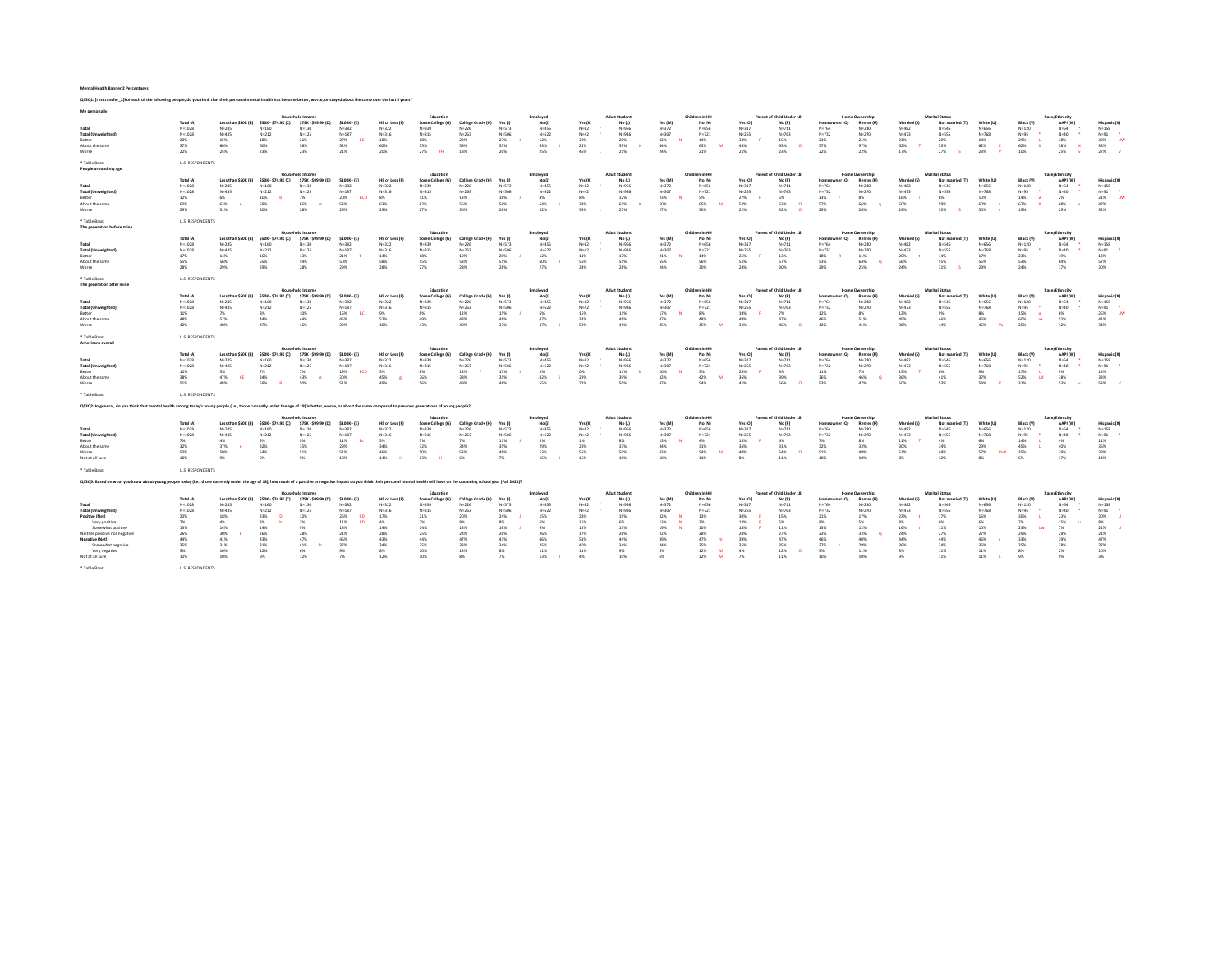| Q53Q1: [res transfer_2]For each of the following people, do you think that their personal mental health has become better, worse, or stayed about the same over the last 5 years?                                              |                                                                                                                 |                                                                                                     |                                                                                                           |                                                                                                                      |                                                                                                       |                                                                                                |                                                                                                        |                                                                                                      |                                                                               |                                                                                               |                                                                                        |                                                                                                       |                                                                                         |                                                                                                                      |                                                                                        |                                                                                                                            |                                                                              |                                                                                                                               |                                                                                           |                                                                                                                   |                                                                                                                |                                                                                                       |                                                                                                     |                                                                                               |
|--------------------------------------------------------------------------------------------------------------------------------------------------------------------------------------------------------------------------------|-----------------------------------------------------------------------------------------------------------------|-----------------------------------------------------------------------------------------------------|-----------------------------------------------------------------------------------------------------------|----------------------------------------------------------------------------------------------------------------------|-------------------------------------------------------------------------------------------------------|------------------------------------------------------------------------------------------------|--------------------------------------------------------------------------------------------------------|------------------------------------------------------------------------------------------------------|-------------------------------------------------------------------------------|-----------------------------------------------------------------------------------------------|----------------------------------------------------------------------------------------|-------------------------------------------------------------------------------------------------------|-----------------------------------------------------------------------------------------|----------------------------------------------------------------------------------------------------------------------|----------------------------------------------------------------------------------------|----------------------------------------------------------------------------------------------------------------------------|------------------------------------------------------------------------------|-------------------------------------------------------------------------------------------------------------------------------|-------------------------------------------------------------------------------------------|-------------------------------------------------------------------------------------------------------------------|----------------------------------------------------------------------------------------------------------------|-------------------------------------------------------------------------------------------------------|-----------------------------------------------------------------------------------------------------|-----------------------------------------------------------------------------------------------|
| Me personally                                                                                                                                                                                                                  |                                                                                                                 |                                                                                                     |                                                                                                           | Household Income                                                                                                     |                                                                                                       |                                                                                                | Education                                                                                              |                                                                                                      |                                                                               | Employed                                                                                      |                                                                                        | <b>Adult Student</b>                                                                                  |                                                                                         | Children in HH                                                                                                       |                                                                                        | Parent of Child Under 18                                                                                                   |                                                                              | <b>Home Ownership</b>                                                                                                         |                                                                                           | Marital Status                                                                                                    |                                                                                                                |                                                                                                       | <b>Race/Fthnicity</b>                                                                               |                                                                                               |
| Total<br><b>Total (Unweighted)</b><br>Retter<br>About the same<br>Worse                                                                                                                                                        | Total (A)<br>$N = 1028$<br>N=1028<br>20%<br>57%<br>22%                                                          | Less than \$50K (B)<br>$N = 285$<br>N=435<br>15%<br>60%<br>25%                                      | \$50K - \$74.9K (C)<br>$N = 160$<br>$N = 212$<br>18%<br>60%<br>23%                                        | \$75K - \$99.9K (D)<br>$N = 130$<br>N=125<br>21%<br>56%<br>23%                                                       | $5100K + 451$<br>N=382<br>N=187<br>27%<br>R0<br>52%<br>21%                                            | HS or Less (F)<br>$N = 322$<br>N=316<br>18%<br>62%<br>20%                                      | Some College (G)<br>N=339<br>N=315<br>18%<br>55%<br>22%                                                | College Grad+ (H)<br>$N = 226$<br>N=263<br>23%<br>59%<br>1.8%                                        | Yes (<br>N+573<br>NASOF<br>27%<br>53%<br>20%                                  | No U)<br>$N + 455$<br>N=522<br>12%<br>63%<br>25%                                              | Yes (K)<br>$N = 62$<br>$N = 42$<br>30%<br>25%<br>45%                                   | No (L)<br>N+966<br>Nu988<br>20%<br>59%<br>21%                                                         | Yes (M<br>$N = 372$<br>$N = 30$<br>32%<br>44%<br>24%                                    | No (N)<br>N+656<br>$N = 721$<br>14%<br>65%<br>M<br>21%                                                               | Yes (O<br>$N = 317$<br>$N = 265$<br>34%<br>45%<br>21%                                  | No (P)<br>$N = 711$<br>N=763<br>15%<br>63%<br>23%                                                                          | inmer<br>$N = 764$<br>$N = 732$<br>21%<br>57%<br>22%                         | er (O)<br><b>Renter (R</b><br>$N = 240$<br>Na220<br>21%<br>57%<br>22%                                                         | <b>Married IS</b><br>$N = 482$<br>$N = 473$<br>21%<br>62%<br>17%                          | Not married (T)<br>N+546<br><b>NASSS</b><br>20%<br>53%<br>27%                                                     | White (II)<br>$N = 656$<br>N=768<br>14%<br>62%<br>23%                                                          | <b>Black IV</b><br>$N = 120$<br>N+95<br>29%<br><b>III</b><br>62%<br>$\mathbf{v}$<br>10%               | AAPI (W)<br>$N = 64$<br>NadO<br>18%<br>58%<br>$\mathbf x$<br>25%                                    | Hispanic (X)<br>$N = 158$<br>$N + 91$<br>40%<br><b>LIM</b><br>33%<br>27%                      |
| * Table Rase:<br>People around my age                                                                                                                                                                                          | U.S. RESPONDENTS                                                                                                |                                                                                                     |                                                                                                           |                                                                                                                      |                                                                                                       |                                                                                                |                                                                                                        |                                                                                                      |                                                                               |                                                                                               |                                                                                        |                                                                                                       |                                                                                         |                                                                                                                      |                                                                                        |                                                                                                                            |                                                                              |                                                                                                                               |                                                                                           |                                                                                                                   |                                                                                                                |                                                                                                       |                                                                                                     |                                                                                               |
| Total<br><b>Total (Unweighted)</b><br>Better<br>About the same<br>Worse                                                                                                                                                        | Total (A)<br>$N = 1028$<br>N=1028<br>12%<br>60%<br>29%                                                          | Less than SSOK (B)<br>$N = 285$<br>N=435<br>6%<br>63%<br>31%                                        | SSOK - \$74.9K (C)<br>$N = 160$<br>$N = 212$<br>10%<br>59%<br>30%                                         | <b>Household Income</b><br>\$75K - \$99.9K (D)<br>$N = 130$<br>N=125<br>7%<br>65%<br>28%                             | \$100K+ (E)<br>N=382<br>N=187<br>20%<br><b>RCD</b><br>53%<br>26%                                      | HS or Less (F<br>$N = 322$<br>N=316<br>8%<br>63%<br>29%                                        | Education<br>Some College (G)<br>N=339<br>N=315<br>11%<br>62%<br><b>27%</b>                            | College Grad+ (H)<br>$N = 226$<br>N=263<br>13%<br>56%<br>30%                                         | Yes (I<br>N=573<br>NASOF<br>18%<br>56%<br>26%                                 | Employed<br>No (J)<br>N+455<br>N=527<br>4%<br>64%<br>32%                                      | Yes (K)<br>$N = 62$<br>$N = 42$<br>8%<br>34%<br>59%                                    | <b>Adult Studen</b><br>No (L)<br>N+966<br>Na988<br>12%<br>61%<br>27%                                  | Yes (M)<br>$N = 372$<br>$N = 307$<br>23%<br>50%<br>27%                                  | Children in HH<br>No (N)<br>N+656<br>N=721<br>5%<br>65%<br>w<br>30%                                                  | Yes (O)<br>$N = 317$<br>$N = 265$<br>27%<br>52%<br>22%                                 | Parent of Child Under 18<br>No (P)<br>$N = 711$<br>Na763<br>5%<br>63%<br>32%<br>$\sqrt{2}$                                 | Homeowner (Q)<br>$N = 764$<br>Na222<br>13%<br>57%<br>79%                     | <b>Home Ownership</b><br>Renter (R)<br>$N = 240$<br>Na <sub>2</sub><br>8%<br>66%<br>26%                                       | <b>Married (S)</b><br>$N = 482$<br>Na473<br>16%<br>60%<br>74%                             | <b>Marital Status</b><br>Not married (T)<br>N+546<br><b>NASSS</b><br>8%<br>59%<br>33%                             | White (U)<br>$N = 656$<br>N=768<br>10%<br>60%<br>30%                                                           | <b>Black (V)</b><br>$N = 120$<br>N+95<br>14%<br>w<br>67%<br>19%                                       | Race/Ethnicity<br>AAPI (W)<br>$N = 64$<br>NeAD<br>2%<br>68%<br>29%                                  | Hispanic DO<br>$N = 158$<br>N=91<br>21%<br>47%<br>32%                                         |
| * Table Base:<br>The coneration before mine                                                                                                                                                                                    | <b>U.S. RESPONDENTS</b>                                                                                         |                                                                                                     |                                                                                                           |                                                                                                                      |                                                                                                       |                                                                                                |                                                                                                        |                                                                                                      |                                                                               |                                                                                               |                                                                                        |                                                                                                       |                                                                                         |                                                                                                                      |                                                                                        |                                                                                                                            |                                                                              |                                                                                                                               |                                                                                           |                                                                                                                   |                                                                                                                |                                                                                                       |                                                                                                     |                                                                                               |
| Total<br><b>Total (Unweighted)</b><br>Retter<br>About the same<br>Worse                                                                                                                                                        | Total (A)<br>$N = 1028$<br>N=1028<br>17%<br>55%<br>28%                                                          | Less than SSOK (B)<br>$N = 285$<br>N=435<br>14%<br>56%<br>29%                                       | SSOK - \$74.9K (C)<br>$N = 160$<br>$N = 212$<br>16%<br>55%<br>29%                                         | <b>Household Income</b><br>S75K - \$99.9<br>K(D)<br>$N = 130$<br>$N = 125$<br>13%<br>59%<br>28%                      | $5100K + 451$<br>$N = 382$<br>N=187<br>21%<br>50%<br>79%                                              | HS or Less (F<br>$N = 322$<br>$N = 316$<br>14%<br>58%<br>28%                                   | Education<br>Some College (G)<br>N=339<br>$N = 315$<br>18%<br>55%<br>27%                               | College Grad+ (H)<br>$N = 226$<br>$N = 263$<br>19%<br>53%<br>28%                                     | Yes (I<br>N=573<br>N+506<br>20%<br>51%<br>28%                                 | Employed<br>No (I)<br>N+455<br>N=522<br>12%<br>60%<br>27%                                     | Yes (K)<br>$N = 62$<br>$N = 42$<br>11%<br>56%<br>34%                                   | <b>Adult Student</b><br>No (L)<br>N+966<br>Na988<br>17%<br>55%<br>28%                                 | Yes (M)<br>$N = 372$<br>$N = 307$<br>21%<br>55%<br>24%                                  | Children in HH<br>No (N)<br>N+656<br>N=721<br>14%<br>56%<br>30%                                                      | Yes (O)<br>$N = 317$<br>$N = 265$<br>25%<br>51%<br>24%                                 | Parent of Child Under 18<br>No (P)<br>$N = 71$<br>Na763<br>13%<br>57%<br>30%                                               | $N = 764$<br>$N = 732$<br>18%<br>53%<br>29%                                  | <b>Home Ownership</b><br>er (O)<br>Renter (R<br>$N = 240$<br>$N = 270$<br>11%<br>64%<br>25%                                   | <b>Married (S)</b><br>$N = 482$<br>Na473<br>20%<br>56%<br>74%                             | <b>Marital Status</b><br>Not married (T)<br>N+546<br><b>NASSS</b><br>14%<br>55%<br>31%                            | White (LI)<br>$N = 656$<br>N=768<br>17%<br>55%<br>29%                                                          | Black (V)<br>$N = 120$<br>N+95<br>23%<br>53%<br>24%                                                   | Race/Ethnicity<br>AAPI (W)<br>$N = 64$<br>NeAD<br>19%<br>64%<br>17%                                 | Hispanic (X)<br>$N = 158$<br>$N + 91$<br>13%<br>57%<br>30%                                    |
| * Table Base<br>The generation after mine                                                                                                                                                                                      | <b>U.S. RESPONDENTS</b>                                                                                         |                                                                                                     |                                                                                                           |                                                                                                                      |                                                                                                       |                                                                                                |                                                                                                        |                                                                                                      |                                                                               |                                                                                               |                                                                                        |                                                                                                       |                                                                                         |                                                                                                                      |                                                                                        |                                                                                                                            |                                                                              |                                                                                                                               |                                                                                           |                                                                                                                   |                                                                                                                |                                                                                                       |                                                                                                     |                                                                                               |
| Total<br><b>Total (Unweighted)</b><br>Retter<br>About the same<br>Worse                                                                                                                                                        | Total (A)<br>$N = 1028$<br>$N = 1028$<br>11%<br>48%<br>42%                                                      | Less than SSOK (B)<br>$N = 285$<br>$N = 435$<br>7%<br>52%<br>40%                                    | \$50K - \$74.9K (C)<br>$N = 160$<br>$N = 212$<br>8%<br>44%<br>47%                                         | <b>Household Income</b><br>\$75K - \$99.9K (D)<br>$N = 130$<br>$N = 125$<br>10%<br>44%<br>46%                        | $5100K + 451$<br>N=382<br>$N = 187$<br>16%<br><b>BC</b><br>45%<br>39%                                 | HS or Less (F)<br>$N = 322$<br>$N = 316$<br>9%<br>52%<br>40%                                   | Education<br>Some College (G)<br>N=339<br>N=315<br>8%<br>49%<br>43%                                    | College Grad+ (H)<br>$N = 226$<br>$N = 263$<br>12%<br>48%<br>40%                                     | Yes (I<br>N=573<br>N+506<br>15%<br>48%<br>37%                                 | Employed<br>No (J)<br>N+455<br>$N + 522$<br>6%<br>47%<br>47%                                  | Yes (K)<br>$N = 62$<br>$N=42$<br>15%<br>32%<br>53%                                     | <b>Adult Student</b><br>No (L)<br>N+966<br>N+986<br>11%<br>48%<br>41%                                 | Yes (M)<br>$N = 372$<br>$N = 307$<br>17%<br>47%<br>35%                                  | Children in HH<br>No (N)<br>N+656<br>N=721<br>8%<br>48%<br>45%<br>$\overline{M}$                                     | Yes (O)<br>$N = 317$<br>$N = 265$<br>19%<br>49%<br>31%                                 | Parent of Child Under 18<br>No (P)<br>$N = 711$<br>$N = 763$<br>7%<br>47%<br>46%                                           | lomes<br>$N = 764$<br>$N = 732$<br>12%<br>46%<br>42%                         | <b>Home Ownership</b><br>Renter (R)<br>er (O)<br>$N = 240$<br>$N = 270$<br>8%<br>51%<br>41%                                   | <b>Married</b> (S)<br>$N = 482$<br>$N = 473$<br>13%<br>49%<br>38%                         | <b>Marital Status</b><br>Not married (T)<br>Na546<br>N+555<br>9%<br>46%<br>44%                                    | White (U)<br>$N = 656$<br>$N = 768$<br>8%<br>46%<br>46%<br>$^{10}$                                             | Black (V)<br>$N = 120$<br>N+95<br>15%<br>$\alpha$<br>60%<br><b>UX</b><br>25%                          | Race/Ethnicity<br>AAPI (W)<br>$N = 64$<br>$N = 40$<br>6%<br>52%<br>42%                              | Hispanic DO<br>$N = 158$<br>N+91<br>25%<br>1M<br>41%<br>34%                                   |
|                                                                                                                                                                                                                                |                                                                                                                 |                                                                                                     |                                                                                                           |                                                                                                                      |                                                                                                       |                                                                                                |                                                                                                        |                                                                                                      |                                                                               |                                                                                               |                                                                                        |                                                                                                       |                                                                                         |                                                                                                                      |                                                                                        |                                                                                                                            |                                                                              |                                                                                                                               |                                                                                           |                                                                                                                   |                                                                                                                |                                                                                                       |                                                                                                     |                                                                                               |
| * Table Base:<br>Americans overall                                                                                                                                                                                             | <b>U.S. RESPONDENTS</b>                                                                                         |                                                                                                     |                                                                                                           |                                                                                                                      |                                                                                                       |                                                                                                |                                                                                                        |                                                                                                      |                                                                               |                                                                                               |                                                                                        |                                                                                                       |                                                                                         |                                                                                                                      |                                                                                        |                                                                                                                            |                                                                              |                                                                                                                               |                                                                                           |                                                                                                                   |                                                                                                                |                                                                                                       |                                                                                                     |                                                                                               |
| Total<br><b>Total (Unweighted)</b><br>Better<br>About the same<br>Worse                                                                                                                                                        | Total (A)<br>$N = 1028$<br>N=1028<br>10%<br>3,8%<br>51%                                                         | Less than \$50K (B)<br>$N = 285$<br>No435<br>5%<br>47%<br><b>CE</b><br>48%                          | \$50K - \$74.9K (C)<br>N=160<br>N=212<br>7%<br>34%<br>59%<br>R                                            | Household Income<br>\$75K - \$99.9K (D)<br>$N = 130$<br>N=125<br>7%<br>43%<br>50%                                    | \$100K+ (E)<br>N=382<br>N=187<br>19%<br><b>BCD</b><br>30%<br>51%                                      | HS or Less (F)<br>$N = 322$<br>N=316<br>5%<br>45%<br><b>D</b><br>49%                           | Education<br>Some College (G)<br>N=339<br>N=315<br>8%<br>36%<br>56%                                    | College Grad+ (H)<br>$N = 226$<br>N=263<br>13%<br>3,8%<br>49%                                        | Yes (I)<br>N=573<br>N+506<br>17%<br>35%<br>48%                                | <b>Employed</b><br>No (J)<br>NAASS.<br>$N = 522$<br>3%<br>42%<br>55%                          | Yes (K)<br>$N = 62$<br>$N = 42$<br>0%<br>29%<br>71%                                    | <b>Adult Student</b><br>No (L)<br>N+966<br>Nu986<br>11%<br>39%<br>50%                                 | Yes (M)<br>$N = 372$<br>$N = 307$<br>20%<br>3.7%<br>47%                                 | Children in HH<br>No (N)<br>N+656<br>$N = 721$<br>5%<br>47%<br>$\overline{M}$<br>54%                                 | Yes (O)<br>$N = 317$<br>$N = 265$<br>23%<br>36%<br>41%                                 | Parent of Child Under 18<br>No (P)<br>N=711<br>N=763<br>5%<br>39%<br>56%                                                   | Homeowner (O)<br>N=764<br>$N = 732$<br>11%<br>36%<br>53%                     | <b>Home Ownership</b><br>Renter (R)<br>Na240<br>Na220<br>7%<br>46%<br>- 0<br>47%                                              | Married (S)<br>$N = 482$<br>$N = 473$<br>15%<br>36%<br>50%                                | Marital Status<br>Not married (T)<br>Na546<br>N+555<br>6%<br>41%<br>53%                                           | White (U)<br>Nu656<br>N=768<br>9%<br>37%<br>54%                                                                | Black (V)<br>$N = 120$<br>N+95<br>17%<br>u<br>52%<br><b>LDC</b><br>31%                                | <b>Race/Fthnicity</b><br>AAPI (W)<br>$N = 64$<br>NAAD<br>9%<br>38%<br>53%                           | Hispanic (X)<br>$N = 158$<br>N=91<br>14%<br>33%<br>53%                                        |
| * Table Base                                                                                                                                                                                                                   | <b>U.S. RESPONDENTS</b>                                                                                         |                                                                                                     |                                                                                                           |                                                                                                                      |                                                                                                       |                                                                                                |                                                                                                        |                                                                                                      |                                                                               |                                                                                               |                                                                                        |                                                                                                       |                                                                                         |                                                                                                                      |                                                                                        |                                                                                                                            |                                                                              |                                                                                                                               |                                                                                           |                                                                                                                   |                                                                                                                |                                                                                                       |                                                                                                     |                                                                                               |
| Q53Q2: In general, do you think that mental health among today's young people (i.e., those currently under the age of 18) is better, worse, or about the same compared to previous generations of young people?                | Total (A)                                                                                                       | Loss than SSOK (R)                                                                                  | SSOK - \$74.9K (C)                                                                                        | <b>Household Incom</b><br><b>S75K - S99 9K (D)</b>                                                                   | $5100K + 15$                                                                                          | HS or Less (F                                                                                  | Education<br>Some College (G)                                                                          | College Grad+ (H)                                                                                    | Yes (I                                                                        | Employed<br>No (J)                                                                            | Yes (K)                                                                                | <b>Adult Studen</b><br>No (L)                                                                         | Yes (M                                                                                  | Children in HH<br>No (N)                                                                                             | Yes (O                                                                                 | Parent of Child Under 18<br>No (P)                                                                                         | Homer                                                                        | <b>Home Ownership</b><br>er (O)<br>Renter (R)                                                                                 | Married IS                                                                                | <b>Marital Status</b><br>Not married (T)                                                                          | White (II)                                                                                                     | <b>Black (V)</b>                                                                                      | Race/Ethnicity<br>AAPI (W)                                                                          | Hispanic DO                                                                                   |
| Total<br><b>Total (Unweighted)</b><br>Retter<br>About the same<br>Worse<br>Not at all sure                                                                                                                                     | $N = 1028$<br>$N = 1028$<br>7%<br>32%<br>50%<br>10%                                                             | $N = 285$<br>No435<br>4%<br>37%<br>50%<br>9%                                                        | $N = 160$<br>$N = 212$<br>S%<br>32%<br>54%                                                                | $N = 130$<br>$N = 125$<br>9%<br>35%<br>51%<br>5%                                                                     | N=382<br>$N = 187$<br>11%<br>29%<br>51%<br>10%                                                        | N=322<br>$N = 316$<br><b>SW</b><br>34%<br>46%<br>14%                                           | N=339<br>N=315<br>S%<br>32%<br>50%<br>13%                                                              | $N = 226$<br>$N = 263$<br>7%<br>34%<br>53%<br>6%                                                     | N+573<br>N+506<br>11%<br>35%<br>48%<br>7%                                     | Nu455<br>$N = 522$<br>3%<br>29%<br>53%<br>15%                                                 | $N = 62$<br>$N = 42$<br>1%<br>29%<br>55%<br>15%                                        | N+966<br>N+986<br>8%<br>33%<br>50%<br>10%                                                             | $N = 372$<br>$N = 307$<br>13%<br>34%<br>43%<br>10%                                      | N+656<br>N=721<br>$4\%$<br>31%<br>54%<br>M<br>11%                                                                    | $N = 317$<br>$N = 265$<br>15%<br>36%<br>40%<br>8%                                      | $N = 711$<br>N=763<br>4%<br>31%<br>54%<br>11%                                                                              | N=764<br>$N = 732$<br>7%<br>32%<br>51%<br>10%                                | $N = 240$<br>$N = 270$<br>8%<br>33%<br>49%<br>10%                                                                             | $N = 482$<br>$N = 473$<br>11%<br>30%<br>51%<br>8%                                         | N=546<br>N+555<br>4%<br>34%<br>49%<br>12%                                                                         | $N = 656$<br>$N = 768$<br>$6\%$<br>29%<br>57%<br>VwX<br>8%                                                     | $N = 120$<br>N+95<br>14%<br>п<br>45%<br>35%<br>6%                                                     | $N = 64$<br>$N = 40$<br>AN.<br>40%<br>39%<br>17%                                                    | $N = 158$<br>$N + 91$<br>11%<br>36%<br>39%<br>14%                                             |
| * Table Base:                                                                                                                                                                                                                  | U.S. RESPONDENTS                                                                                                |                                                                                                     |                                                                                                           |                                                                                                                      |                                                                                                       |                                                                                                |                                                                                                        |                                                                                                      |                                                                               |                                                                                               |                                                                                        |                                                                                                       |                                                                                         |                                                                                                                      |                                                                                        |                                                                                                                            |                                                                              |                                                                                                                               |                                                                                           |                                                                                                                   |                                                                                                                |                                                                                                       |                                                                                                     |                                                                                               |
| Q53Q5: Based on what you know about young people today (i.e., those currently under the age of 18), how much of a positive or negative impact do you think their personal mental health will have on the upcoming school year  |                                                                                                                 |                                                                                                     |                                                                                                           |                                                                                                                      |                                                                                                       |                                                                                                |                                                                                                        |                                                                                                      |                                                                               |                                                                                               |                                                                                        |                                                                                                       |                                                                                         |                                                                                                                      |                                                                                        |                                                                                                                            |                                                                              |                                                                                                                               |                                                                                           |                                                                                                                   |                                                                                                                |                                                                                                       |                                                                                                     |                                                                                               |
| Total<br><b>Total (Unweighted)</b><br>Positive (Net)<br>Very positive<br>Somewhat positive<br>Neither positive nor negative<br><b>Negative (Net)</b><br>Somewhat negative<br>Very negative<br>Not at all sure<br>* Table Base: | Total (A)<br>$N = 1028$<br>$N = 1028$<br>20%<br>7%<br>13%<br>26%<br>44%<br>35%<br>9%<br>10%<br>U.S. RESPONDENTS | Loss than SSOK (B)<br>$N = 285$<br>$N = 435$<br>18%<br>4%<br>14%<br>30%<br>41%<br>31%<br>10%<br>10% | \$50K - \$74,9K (C)<br>$N = 160$<br>$N = 212$<br>23%<br>-n<br>8%<br>14%<br>26%<br>43%<br>31%<br>12%<br>9% | Household Incom<br><b>S75K - S999</b><br>$N = 130$<br>$N = 125$<br>12%<br>3%<br>9%<br>28%<br>47%<br>41%<br>6%<br>12% | $5100K + 15$<br>N=382<br>$N = 187$<br>26%<br>hD<br>11%<br>RD.<br>15%<br>21%<br>46%<br>37%<br>9%<br>7% | HS or Less (I<br>$N = 322$<br>$N = 316$<br>17%<br>4%<br>14%<br>28%<br>43%<br>3,4%<br>8%<br>12% | Education<br>Some College (G)<br>N=339<br>N=315<br>21%<br>7%<br>14%<br>25%<br>44%<br>35%<br>10%<br>10% | College Grade (H)<br>$N = 226$<br>$N = 263$<br>20%<br>$8\%$<br>13%<br>24%<br>47%<br>33%<br>13%<br>8% | Yes (I<br>N=573<br>N+506<br>24%<br>8%<br>16%<br>26%<br>43%<br>34%<br>8%<br>7% | Employe<br>No.(1)<br>N+455<br>$N = 522$<br>15%<br>6%<br>9%<br>26%<br>46%<br>35%<br>11%<br>13% | Yes (K)<br>$N = 62$<br>$N = 42$<br>28%<br>15%<br>13%<br>17%<br>51%<br>40%<br>11%<br>4% | <b>Adult Studen</b><br>No (L)<br>N+966<br>N+986<br>19%<br>6%<br>13%<br>26%<br>44%<br>34%<br>9%<br>10% | Yes IM<br>$N = 372$<br>$N = 307$<br>32%<br>13%<br>19%<br>22%<br>39%<br>3.4%<br>5%<br>6% | Children in HF<br>No (N)<br>N+656<br>N=721<br>13%<br>3%<br>10%<br>28%<br>47%<br>35%<br>12%<br>M.<br>12%<br><b>AA</b> | Yes In<br>$N = 317$<br>$N = 265$<br>30%<br>12%<br>18%<br>24%<br>39%<br>35%<br>4%<br>7% | Parent of Child Under 18<br>No (P)<br>$N = 711$<br>N=763<br>15%<br>5%<br>11%<br>27%<br>47%<br>35%<br>12%<br>$\circ$<br>11% | $N = 764$<br>$N = 732$<br>21%<br>8%<br>13%<br>23%<br>46%<br>37%<br>9%<br>10% | <b>Home Ownership</b><br>er (O)<br>Renter (R<br>$N = 240$<br>$N = 270$<br>17%<br>5%<br>12%<br>33%<br>40%<br>29%<br>11%<br>10% | Married IS<br>$N = 482$<br>$N = 473$<br>23%<br>8%<br>16%<br>24%<br>44%<br>36%<br>8%<br>9% | <b>Marital Status</b><br>Not married (T<br>N+546<br>N+555<br>17%<br>6%<br>11%<br>27%<br>44%<br>3.4%<br>11%<br>11% | White (II)<br>$N = 656$<br>$N = 768$<br>16%<br>$6\%$<br>10%<br>27%<br>46%<br>36%<br>11%<br>11%<br>$\mathbf{x}$ | <b>Black (V)</b><br>$N = 120$<br>N+95<br>30%<br>m<br>7%<br>23%<br>Uw<br>29%<br>33%<br>25%<br>8%<br>9% | Race/Ethnicity<br>AAPI (W)<br>$N = 64$<br>NeAD<br>23%<br>15%<br>7%<br>29%<br>39%<br>38%<br>2%<br>9% | Hispanic DO<br>$N = 158$<br>$N + 91$<br>30%<br>$8\%$<br>21%<br>21%<br>47%<br>37%<br>10%<br>3% |

alth Banner 2 Percentages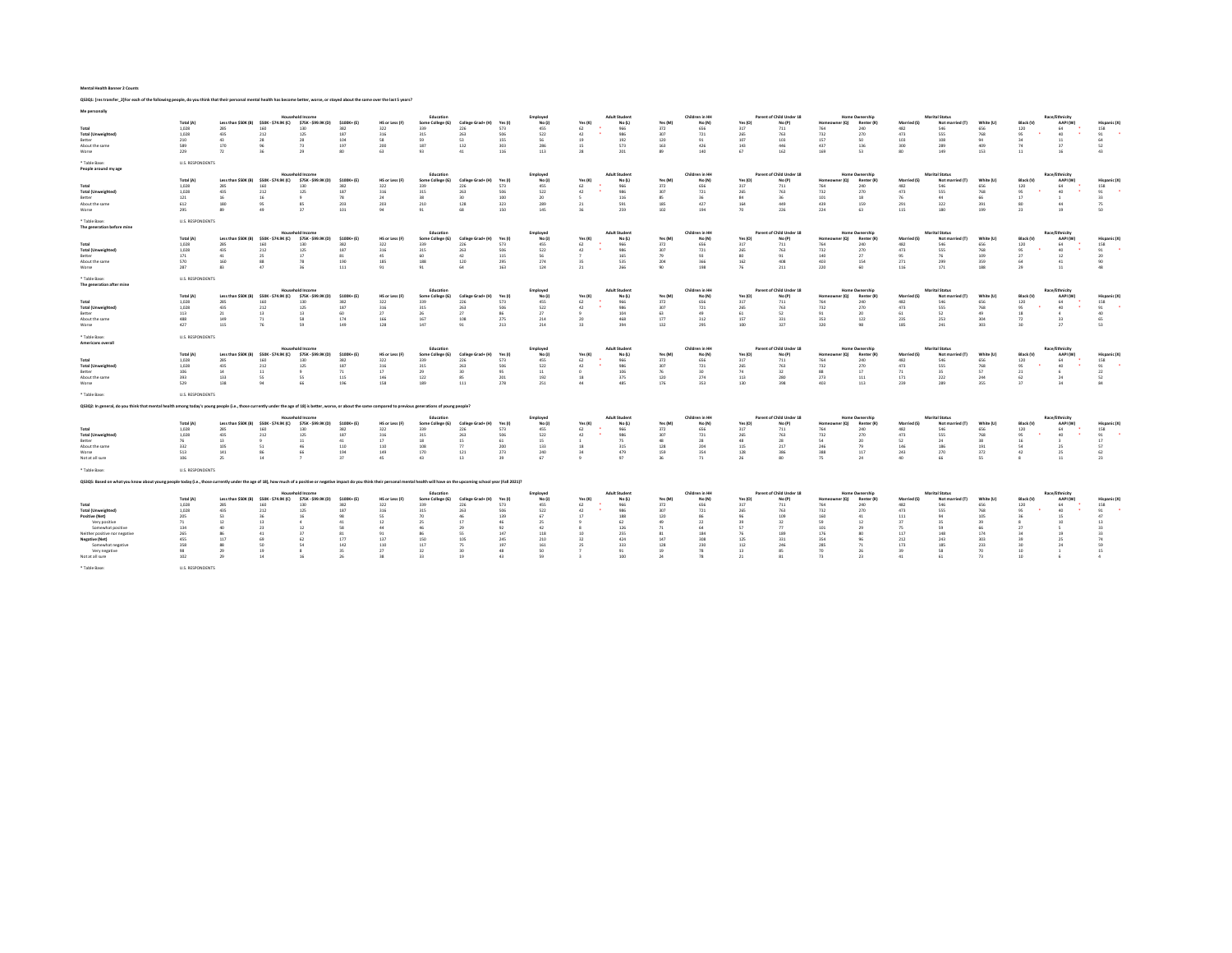### Mental Health Banner 2 Counts

QS3Q1: [res transfer\_2]For each of the following people, do you think that their personal mental health has become better, worse, or stayed about the same over the last 5 years?

| Me personally                                                                                                                                                                                                                 |                         |                           |                            |                            |              |                       |                         |                          |              |               |                |                      |                |                          |                |                                 |                         |                                     |                           |                                          |            |                       |                            |                       |
|-------------------------------------------------------------------------------------------------------------------------------------------------------------------------------------------------------------------------------|-------------------------|---------------------------|----------------------------|----------------------------|--------------|-----------------------|-------------------------|--------------------------|--------------|---------------|----------------|----------------------|----------------|--------------------------|----------------|---------------------------------|-------------------------|-------------------------------------|---------------------------|------------------------------------------|------------|-----------------------|----------------------------|-----------------------|
|                                                                                                                                                                                                                               |                         |                           |                            | <b>Household Income</b>    | $5100K + B$  |                       | Education               |                          |              | Employee      |                | <b>Adult Student</b> |                | Children in HH           |                | Parent of Child Under 18        |                         | <b>Home Ownership</b>               |                           | <b>Marital Status</b>                    |            |                       | Race/Ethnicity             |                       |
| Total                                                                                                                                                                                                                         | Total (A)<br>1,028      | Less than SSOK (B)<br>285 | \$50K - \$74.9K (C)<br>160 | \$75K - \$99.9K (D)<br>130 | 387          | HS or Less (F)<br>322 | Some College (G)<br>339 | College Grad+ (H)<br>226 | Yes (<br>573 | No (J)<br>455 | Yes (K)<br>62  | No (L<br>966         | Yes (M)<br>372 | No (N)<br>656            | Yes (O)<br>317 | No (P<br>711                    | (O)<br>764              | Renter (R)<br>240                   | <b>Married (S)</b><br>482 | Not married (T)<br>5.46                  | 656        | <b>Black N</b><br>120 | AAPI (W)                   | Hispanic I<br>158     |
| <b>Total (Unweighted)</b>                                                                                                                                                                                                     | 1.028                   | 435                       | 212                        | 125                        | 187          | 316                   | 315                     | 263                      | 506          | 522           | 42             | 986                  | 307            | 721                      | 265            | 763                             | 732                     | 270                                 | 473                       | 555                                      | 768        | 95                    | 40 <sub>1</sub>            | 91                    |
| Retter                                                                                                                                                                                                                        | 210                     | 43                        | 28                         | 28                         | 104          | 58                    | 59                      | 53                       | 155          | 56            | 19             | 192                  | 120            | 91                       | 107            | 103                             | 157                     | 50                                  | 103                       | 108                                      | 94         | 34                    | -11                        | 64                    |
| About the same                                                                                                                                                                                                                | 589                     | 170                       | 96                         | 73                         | 197          | 200                   | 187                     | 132                      | 303          | 286           | 15             | 573                  | 163            | 426                      | 143            | 446                             | 437                     | 136                                 | 300                       | 289                                      | 409        | 74                    | 37                         | 52                    |
| Worse                                                                                                                                                                                                                         | 229                     | 72                        | 36                         | 29                         | 80           | 63                    | 93                      | $-41$                    | 116          | 113           | 28             | 201                  | 89             | 140                      | 67             | 162                             | 169                     | 53                                  | 80                        | 149                                      | 153        | 11                    | 16                         | 43                    |
|                                                                                                                                                                                                                               |                         |                           |                            |                            |              |                       |                         |                          |              |               |                |                      |                |                          |                |                                 |                         |                                     |                           |                                          |            |                       |                            |                       |
| * Table Base:<br>People around my age                                                                                                                                                                                         | <b>U.S. RESPONDENTS</b> |                           |                            |                            |              |                       |                         |                          |              |               |                |                      |                |                          |                |                                 |                         |                                     |                           |                                          |            |                       |                            |                       |
|                                                                                                                                                                                                                               |                         |                           |                            | <b>Household Income</b>    |              |                       | Education               |                          |              | Employee      |                | <b>Adult Student</b> |                | Children in HH           |                | <b>Parent of Child Under 18</b> |                         | <b>Home Ownership</b>               |                           | <b>Marital Status</b>                    |            |                       | Race/Ethnicity             |                       |
|                                                                                                                                                                                                                               | Total (A)               | Less than SSOK (B)        | SSOK - \$74.9K (C)         | \$75K - \$99.9K (D)        | \$100K+ (E)  | HS or Less (F)        | Some College (G)        | College Grad+ (H)        | Yes (I       | No U          | Yes (K)        | No (L)               | Yes (M)        | No (N                    | Yes (O)        | No (P)                          | er (O)<br>Homes         | Renter (R)                          | Married (S)               | Not married (T)                          | White (U)  | <b>Black N</b>        | AAPI (W)                   | Hispanic D            |
| Total                                                                                                                                                                                                                         | 1,028                   | 285                       | 160                        | 130                        | 382          | 322                   | 339                     | 226                      | 573          | 455           | 62             | 966                  | 372            | 656                      | 317            | 711                             | 764                     | 240                                 | 482                       | 546                                      | 656        | 120                   | 64                         | 158                   |
| <b>Total (Unweighted)</b>                                                                                                                                                                                                     | 1,028                   | 435                       | 212                        | 125                        | 187          | 316                   | 315                     | 263                      | 506          | 522           | 42             | 986                  | 307            | 721                      | 265            | 763                             | 732                     | 270                                 | 473                       | 555                                      | 768        | 95                    | 40                         | 91                    |
| Retter                                                                                                                                                                                                                        | 121                     | 16                        | 16                         | $\ddot{q}$                 | 78           | 24                    | 38                      | 30                       | 100          | 20            |                | 116                  | 85             | 36                       | 84             | 36                              | 101                     | 18                                  | 76                        | 44                                       | 66         | 17                    |                            | 33                    |
| About the same                                                                                                                                                                                                                | 612                     | 180                       | 95                         | 85                         | 203          | 203                   | 210                     | 128                      | 323          | 789           | 21             | 591                  | 185            | 427                      | 164            | 449                             | 439                     | 159                                 | 291                       | 322                                      | 391        | 80                    | 44                         | 75                    |
| Worse                                                                                                                                                                                                                         | 295                     | 89                        | 49                         | 37                         | 101          | 94                    | Q <sub>1</sub>          | 68                       | 150          | 145           | 36             | 259                  | 102            | 194                      | 70             | 226                             | 224                     | 63                                  | 115                       | 180                                      | 199        | 23                    | 19                         | 50                    |
|                                                                                                                                                                                                                               |                         |                           |                            |                            |              |                       |                         |                          |              |               |                |                      |                |                          |                |                                 |                         |                                     |                           |                                          |            |                       |                            |                       |
| * Table Base:<br>The coneration hefore mine                                                                                                                                                                                   | <b>U.S. RESPONDENTS</b> |                           |                            |                            |              |                       |                         |                          |              |               |                |                      |                |                          |                |                                 |                         |                                     |                           |                                          |            |                       |                            |                       |
|                                                                                                                                                                                                                               |                         |                           |                            | <b>Household Income</b>    |              |                       | Education               |                          |              | Employed      |                | <b>Adult Student</b> |                | Children in HH           |                | Parent of Child Under 18        |                         | <b>Home Ownership</b>               |                           | <b>Marital Status</b>                    |            |                       | Race/Ethnicity             |                       |
|                                                                                                                                                                                                                               | Total (A)               | Less than SSOK (B)        | \$50K - \$74.9K (C)        | \$75K - \$99.9K (D)        | \$100K+ (E)  | HS or Less (F)        | Some College (G)        | College Grad+ (H)        | Yes (I       | No U          | Yes (K)        | No (L)               | Yes (M)        | No (N)                   | Yes (O)        | No (P)                          | 10 <sub>0</sub>         | Renter (R)                          | <b>Married (S)</b>        | Not married (T)                          | White (U)  | <b>Black IV</b>       | AAPI (W)                   | Hispanic <sup>(</sup> |
| Total                                                                                                                                                                                                                         | 1.028                   | 285                       | 160                        | 130                        | 382          | 322                   | 339                     | 226                      | 573          | 455           | 62             | 966                  | 372            | 656                      | 317            | 711                             | 764                     | 240                                 | 482                       | 5.46                                     | 656        | 120                   | 64                         | 158                   |
| <b>Total (Unweighted)</b>                                                                                                                                                                                                     | 1,028                   | 435                       | 212                        | 125                        | 187          | 316                   | 315                     | 263                      | 506          | 522           | 42             | 986                  | 307            | 721                      | 265            | 763                             | 732                     | 270                                 | 473                       | 555                                      | 768        | 95                    | 40                         | 91                    |
| Better                                                                                                                                                                                                                        | 171                     | 41                        | 25                         | 17                         | 81           | 45                    | 60                      | 42                       | 115          | 56            |                | 165                  | 79             | 93                       | 80             | 91                              | 140                     | 27                                  | 95                        | 76                                       | 109        | 27                    | 12                         | 20                    |
| About the same                                                                                                                                                                                                                | 570                     | 160                       | 88                         | 78                         | 190          | 185                   | 188                     | 120                      | 295          | 274           | 35             | 535                  | 204            | 366                      | 162            | <b>ADR</b>                      | 403                     | 154                                 | 271                       | 299                                      | 359        | 64                    | 41                         | 90                    |
| Worse                                                                                                                                                                                                                         | 787                     | 83                        | 47                         | 2 <sup>c</sup>             | 111          | 91                    | Q1                      | 64                       | 163          | 124           | 21             | 266                  | 90             | 198                      | 76             | 211                             | 220                     | 60                                  | 116                       | 171                                      | 188        | 79                    | $-11$                      | 48                    |
|                                                                                                                                                                                                                               |                         |                           |                            |                            |              |                       |                         |                          |              |               |                |                      |                |                          |                |                                 |                         |                                     |                           |                                          |            |                       |                            |                       |
| * Table Base:<br>The generation after mine                                                                                                                                                                                    | <b>U.S. RESPONDENTS</b> |                           |                            |                            |              |                       |                         |                          |              |               |                |                      |                |                          |                |                                 |                         |                                     |                           |                                          |            |                       |                            |                       |
|                                                                                                                                                                                                                               |                         |                           |                            | <b>Household Income</b>    |              |                       | Education               |                          |              | Employed      |                | <b>Adult Student</b> |                | Children in HH           |                | Parent of Child Under 18        |                         | <b>Home Ownership</b>               |                           | <b>Marital Status</b>                    |            |                       | Race/Ethnicity             |                       |
|                                                                                                                                                                                                                               | Total (A)               | Less than SSOK (B)        | $SSOK -$<br>74.9K (C)      | <b>S75K - S99 9K (D)</b>   | $5100K + 4F$ | HS or Less (F)        | Some College (G)        | College Grad+ (H)        | Yes II       | No ft         | Yes (K)        | No.01                | <b>Yes (M)</b> | No (N                    | Yes (O)        | No (P)                          | Home<br>101             | Renter (R)                          | Married (S)               | Not married (T)                          | White (ii) | <b>Rlack N</b>        | AAPI (W)                   | Hisnanic D            |
| Total                                                                                                                                                                                                                         | 1.028                   | 285                       | 160                        | 130                        | 387          | 322                   | 339                     | 226                      | 573          | 455           | 62             | 966                  | 372            | 656                      | 317            | 711                             | 764                     | 240                                 | 482                       | 5.46                                     | 656        | 120                   | 64                         | 158                   |
| <b>Total (Unweighted</b>                                                                                                                                                                                                      | 1.028                   | 435                       | 212                        | 125                        | 187          | 316                   | 315                     | 263                      | 506          | 522           | 42             | 986                  | 307            | 721                      | 265            | 763                             | 732                     | 270                                 | 473                       | 555                                      | 768        | 95                    | 40                         | 91                    |
| Better                                                                                                                                                                                                                        | 113                     | 21                        | 13                         | 13                         | 60           | 27                    | 26                      | 27                       | 86           | 27            |                | 104                  | 63             | 49                       | 61             | 52                              | 91                      | 20                                  | 61                        | 52                                       | 49         | 18                    | $\Delta$                   | 40                    |
| About the same                                                                                                                                                                                                                | 488                     | 149                       | 71                         | 58                         | 174          | 166                   | 167                     | 108                      | 275          | 214           | 20             | 468                  | 177            | 312                      | 157            | 331                             | 353                     | 122                                 | 235                       | 253                                      | 304        | $72\,$                | 33                         | 65                    |
| Worse                                                                                                                                                                                                                         | 427                     | 115                       | 76                         | 59                         | 149          | 128                   | 147                     | 91                       | 213          | 214           | 33             | 394                  | 132            | 295                      | 100            | 327                             | 320                     | 98                                  | 185                       | 241                                      | 303        | 30                    | 77                         | 53                    |
|                                                                                                                                                                                                                               |                         |                           |                            |                            |              |                       |                         |                          |              |               |                |                      |                |                          |                |                                 |                         |                                     |                           |                                          |            |                       |                            |                       |
| * Table Base:                                                                                                                                                                                                                 | <b>U.S. RESPONDENTS</b> |                           |                            |                            |              |                       |                         |                          |              |               |                |                      |                |                          |                |                                 |                         |                                     |                           |                                          |            |                       |                            |                       |
|                                                                                                                                                                                                                               |                         |                           |                            |                            |              |                       |                         |                          |              |               |                |                      |                |                          |                |                                 |                         |                                     |                           |                                          |            |                       |                            |                       |
|                                                                                                                                                                                                                               |                         |                           |                            |                            |              |                       |                         |                          |              |               |                |                      |                |                          |                |                                 |                         |                                     |                           |                                          |            |                       |                            |                       |
| Americans overall                                                                                                                                                                                                             |                         |                           |                            | <b>Household Income</b>    |              |                       |                         |                          |              |               |                |                      |                |                          |                |                                 |                         |                                     |                           |                                          |            |                       |                            |                       |
|                                                                                                                                                                                                                               |                         | Less than SSOK (B)        |                            |                            | $5100K + 15$ | HS or Less (F)        | Education               | College Grad+ (H)        | Yes (        | Employed      |                | <b>Adult Student</b> | Yes (M         | Children in HH<br>No (N) | Yes (O)        | Parent of Child Under 18        | r (O)                   | <b>Home Ownership</b><br>Renter (R) | <b>Married (S)</b>        | <b>Marital Status</b><br>Not married (T) | White (LI) | <b>Black N</b>        | Race/Ethnicity<br>AAPI (W) | Hispanic I            |
| Total                                                                                                                                                                                                                         | Total (A)<br>1.028      | 285                       | \$50K - \$74.9K (C)<br>160 | \$75K - \$99.9K (D)<br>130 | 387          | 322                   | Some College (G)<br>339 | 226                      | 573          | No (J)<br>455 | Yes (K)<br>62  | No (L)<br>966        | 372            | 656                      | 317            | No (P)<br>711                   | 764                     | 240                                 | 482                       | 5.46                                     | 656        |                       | 68                         | 158                   |
| <b>Total (Unweighted)</b>                                                                                                                                                                                                     | 1.028                   | 435                       | 212                        | 125                        | 187          | 316                   | 315                     | 263                      | 506          | 522           | 42             | 986                  | 307            | 721                      | 265            | 763                             | 732                     | 270                                 | 473                       | 555                                      | 768        | 120<br>95             | 40                         | 91                    |
|                                                                                                                                                                                                                               |                         |                           |                            |                            |              |                       |                         |                          |              |               |                |                      |                |                          |                |                                 |                         |                                     |                           |                                          |            |                       |                            |                       |
| Better                                                                                                                                                                                                                        | 106                     | $14\,$                    | 11                         | 9                          | 71           | 17                    | 29                      | 30                       | 95           | 11            | $\circ$        | 106                  | 76             | 30                       | 74             | 32                              | 88                      | 17                                  | 71                        | 35                                       | 57         | 21                    |                            | 22                    |
| About the same                                                                                                                                                                                                                | 393<br>579              | 133                       | 55<br>Qd                   | 55<br>66                   | 115<br>196   | 146                   | 122                     | 85                       | 201          | 192           | 18<br>44       | 375                  | 120            | 274                      | 113            | 280                             | 273                     | 111                                 | 171                       | 222                                      | 244        | 62                    | 24<br>34                   | 52                    |
| Worse                                                                                                                                                                                                                         |                         | 138                       |                            |                            |              | 158                   | 189                     | 111                      | 278          | 251           |                | 485                  | 176            | 353                      | 130            | 398                             | 403                     | 113                                 | 239                       | 289                                      | 355        | 37                    |                            | 84                    |
| * Table Base:                                                                                                                                                                                                                 | <b>U.S. RESPONDENTS</b> |                           |                            |                            |              |                       |                         |                          |              |               |                |                      |                |                          |                |                                 |                         |                                     |                           |                                          |            |                       |                            |                       |
| Q53Q2: In general, do you think that mental health among today's young people (i.e., those currently under the age of 18) is better, worse, or about the same compared to previous generations of young people?               |                         |                           |                            |                            |              |                       |                         |                          |              |               |                |                      |                |                          |                |                                 |                         |                                     |                           |                                          |            |                       |                            |                       |
|                                                                                                                                                                                                                               |                         |                           |                            | <b>Household Incor</b>     |              |                       | Educatio                |                          |              | Employee      |                | <b>Adult Student</b> |                | Children in HH           |                | Parent of Child Under 18        |                         | <b>Home Ownership</b>               |                           | <b>Marital Status</b>                    |            |                       | Race/Ethnicity             |                       |
|                                                                                                                                                                                                                               | Total (A)               | Less than SSOK (B)        | \$50K - \$74.9K (C)        | \$75K - \$99.9K (D)        | $5100K + 15$ | HS or Less (F)        | Some College (G)        | College Grade (H)        | Yes (I       | No U          | Yes (K)        | No (L)               | Yes (M         | No (N)                   | Yes (O)        | No (P)                          | 10 <sub>0</sub><br>Home | Renter (R)                          | Married (S)               | Not married (T)                          | White (LI) | <b>Black N</b>        | AAPI (W)                   | Hispanic D            |
| Total                                                                                                                                                                                                                         | 1.028                   | 285                       | 160                        | 130                        | 387          | 322                   | 339                     | 226                      | 573          | 455           | 62             | 966                  | 372            | 656                      | 317            | 711                             | 764                     | 240                                 | 482                       | 5.46                                     | 656        | 120                   | 64                         | 158                   |
| <b>Total (Unweighted)</b>                                                                                                                                                                                                     | 1,028                   | 435                       | 212                        | 125                        | 187          | 316                   | 315                     | 263                      | 506          | 522           | 42             | 986                  | 307            | 721                      | 265            | 763                             | 732                     | 270                                 | 473                       | 555                                      | 768        | 95                    | 40                         | 91                    |
| Better                                                                                                                                                                                                                        | 76                      | 13                        |                            | 11                         | 41           | 17                    | 18                      | 15                       | 61           | 15            | $\overline{1}$ | 75                   | 48             | 28                       | 48             | $\overline{\mathbf{z}}$         | 54                      | 20                                  | 52                        | 24                                       | 38         | 16                    |                            | 17                    |
| About the same                                                                                                                                                                                                                | 332                     | 105                       | 51                         | 46                         | 110          | 110                   | 108                     | 77                       | 200          | 133           | 18             | 315                  | 128            | 204                      | 115            | 217                             | 246                     | 79                                  | 146                       | 186                                      | 19         | 54                    | 25                         | 57                    |
| Worse                                                                                                                                                                                                                         | 513                     | 141                       | 86                         | 66                         | 194          | 149                   | 170                     | 121                      | 273          | 240           | 24             | 479                  | 159            | 354                      | 128            | 386                             | 388                     | 117                                 | 243                       | 270                                      | 372        | 42                    | 25                         | 62                    |
| Not at all sure                                                                                                                                                                                                               | 106                     | 25                        | 14                         |                            | 37           | 45                    | 43                      | 13                       | 39           | 67            |                | 97                   | 36             | 71                       | 26             | 80                              | 75                      | 24                                  | 40                        | 66                                       | 55         | $\mathbf{x}$          | 11                         | 23                    |
|                                                                                                                                                                                                                               |                         |                           |                            |                            |              |                       |                         |                          |              |               |                |                      |                |                          |                |                                 |                         |                                     |                           |                                          |            |                       |                            |                       |
| * Table Base:                                                                                                                                                                                                                 | <b>ILS RESPONDENTS</b>  |                           |                            |                            |              |                       |                         |                          |              |               |                |                      |                |                          |                |                                 |                         |                                     |                           |                                          |            |                       |                            |                       |
| Q53Q5: Based on what you know about young people today (i.e., those currently under the age of 18), how much of a positive or negative impact do you think their personal mental health will have on the upcoming school year |                         |                           |                            |                            |              |                       |                         |                          |              |               |                |                      |                |                          |                |                                 |                         |                                     |                           |                                          |            |                       |                            |                       |
|                                                                                                                                                                                                                               |                         |                           |                            | <b>Household Income</b>    |              |                       | Education               |                          |              | Employee      |                | <b>Adult Student</b> |                | Children in HF           |                | Parent of Child Under 18        | ner (O)<br>Homeo        | <b>Home Ownership</b>               |                           | Marital Status                           |            |                       | Race/Fthnicity             |                       |
|                                                                                                                                                                                                                               | Total (A)               | Less than SSOK (B)        | SSOK - \$74.9K (C)         | \$75K - \$99.9K (D)        | \$100K+ (E)  | HS or Less (F)        | Some College (G)        | College Grad+ (H)        | Yes (I       | No U          | Yes (K)        | No (L)               | Yes (M         | No (N)                   | Yes (O)        | No (P)                          |                         | Renter (R)                          | <b>Married (S)</b>        | Not married (T)<br>5.46                  | White (U)  | <b>Black (1</b>       | AAPI (W)                   | Hispanic D            |
| Total                                                                                                                                                                                                                         | 1,028                   | 285                       | 160                        | 130                        | 382          | 322                   | 339                     | 226                      | 573          | 455           | 62             | 966                  | 372            | 656                      | 317            | 711                             | 764                     | 240                                 | 482                       |                                          | 656        | 120                   |                            | 158                   |
| <b>Total (Unweighted)</b>                                                                                                                                                                                                     | 1,028                   | 435                       | 212                        | 125                        | 187          | 316                   | 315                     | 263                      | 506          | 522           | 42             | 986                  | 307            | 721                      | 265            | 763                             | 732                     | 270                                 | 473                       | 555                                      | 768        | 95                    | 40                         | 91                    |
| Positive (Net)                                                                                                                                                                                                                | 205                     | 53                        | 36                         | 16                         | 98           | 55                    | $\pi$                   | 46                       | 139          | 67            | 17             | 188                  | 120            | 86                       | 96             | 109                             | 160                     | 41                                  | 111                       | $Q_4$                                    | 105        | 36                    | 15                         | 47                    |
| Very nositive                                                                                                                                                                                                                 | 71                      | $12\,$                    | 13                         | $\Delta$                   | 41           | 12 <sup>1</sup>       | 75                      | 17                       | 46           | 25            |                | 52                   | 49             | $\overline{22}$          | 39             | $\mathbf{z}$                    | 59                      | 12                                  | 37                        | 35                                       | 39         |                       | 10                         | 13                    |
| Somewhat positive                                                                                                                                                                                                             | 134                     | 40                        | $\overline{2}$             | 12                         | <b>SR</b>    | 44                    |                         | 29                       | 92           | 42            |                | 126                  | 71             | 64                       | 57             | $\overline{u}$                  | 101                     | 29                                  | 75                        | 59                                       | 66         | $\overline{2}$        |                            | 33                    |
| Neither positive nor negative                                                                                                                                                                                                 | 265                     | 86                        | 41                         | 37                         | 81           | 91                    | 86                      | 55                       | 147          | 118           | 10             | 255                  | 81             | 184                      | 76             | 189                             | 176                     | 80                                  | 117                       | 148                                      | 174        | 34                    | 19                         | 33                    |
| <b>Negative (Net)</b>                                                                                                                                                                                                         | 455                     | 117                       | 69                         | 62                         | 177          | 137                   | 150                     | 105                      | 245          | 210           | 32             | 424                  | 147            | 308                      | 125            | 331                             | 354                     | 96                                  | 212                       | 243                                      | 303        | 39                    | 25                         | 74                    |
| Somewhat negative                                                                                                                                                                                                             | 358                     | 88                        | so                         | 54                         | 147          | 110                   | 117                     | 75                       | 197          | 161           | 25             | 333                  | 128            | 230                      | 112            | 246                             | 285                     | 71                                  | 173                       | 185                                      | 233        | 30                    | 74                         | sg                    |
| Very negative                                                                                                                                                                                                                 | 98                      | 29                        | 19                         |                            | 35           | 27                    | 32                      | 30                       | 48           | 50            |                | 91                   | 19             | 78                       | 13             | 85                              | 70                      | 26                                  | 39                        | <b>CR</b>                                | 70         | $10$                  |                            | 15                    |
| Not at all sure                                                                                                                                                                                                               | 102                     | 29                        | 14                         |                            | -26          | 38                    | 33                      | 19                       | 43           | 59            |                | 100                  | 74             | 78                       | 21             | 81                              | 73                      | 23                                  | 41                        | 61                                       | 73         | 10                    |                            |                       |
| * Table Base:                                                                                                                                                                                                                 | <b>U.S. RESPONDENTS</b> |                           |                            |                            |              |                       |                         |                          |              |               |                |                      |                |                          |                |                                 |                         |                                     |                           |                                          |            |                       |                            |                       |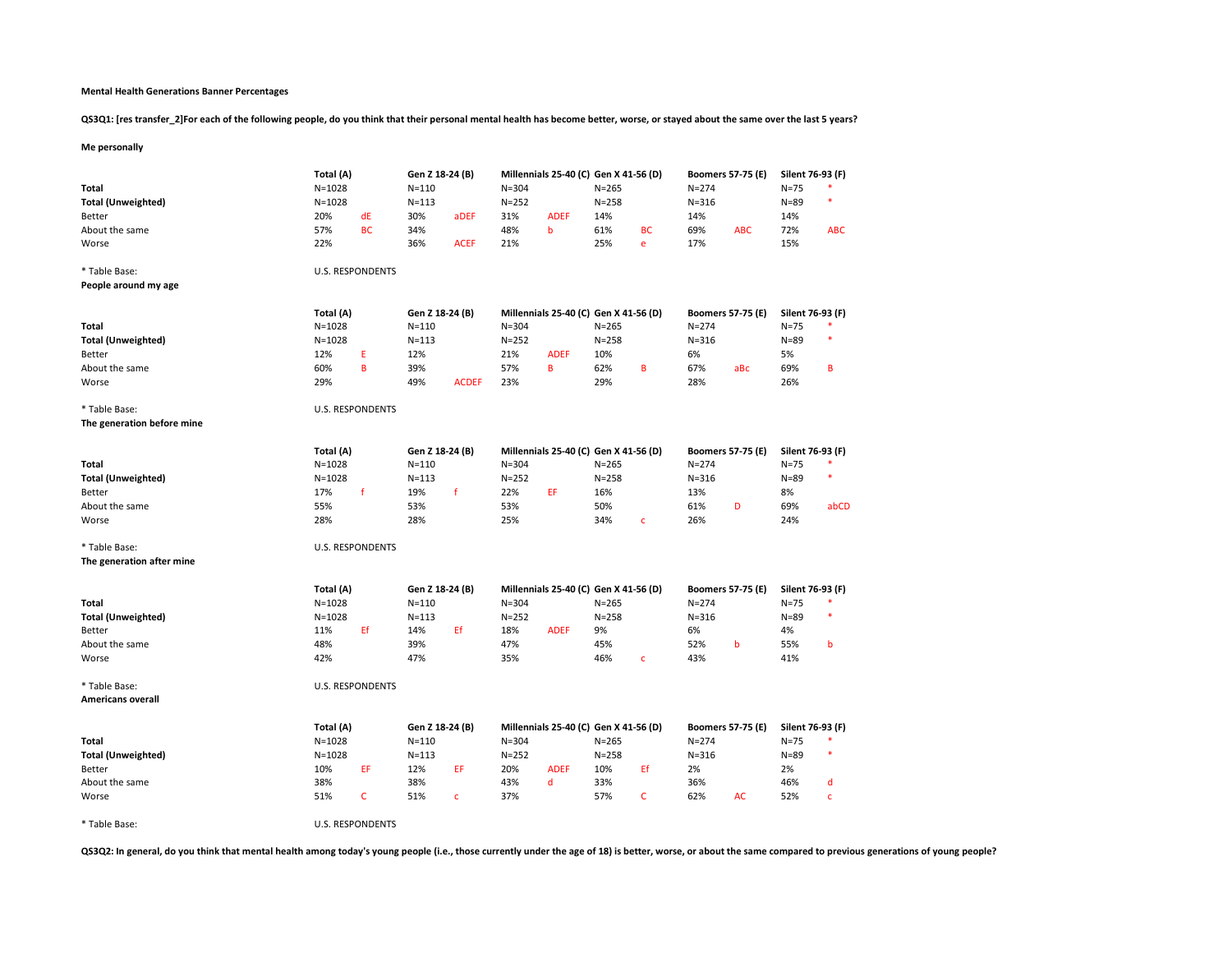## Mental Health Generations Banner Percentages

QS3Q1: [res transfer\_2]For each of the following people, do you think that their personal mental health has become better, worse, or stayed about the same over the last 5 years?

# Me personally

| <b>Total</b><br><b>Total (Unweighted)</b><br><b>Better</b><br>About the same<br>Worse | Total (A)<br>$N = 1028$<br>$N = 1028$<br>20%<br>57%<br>22% | dE<br><b>BC</b>         | Gen Z 18-24 (B)<br>$N = 110$<br>$N = 113$<br>30%<br>34%<br>36% | aDEF<br><b>ACEF</b> | $N = 304$<br>$N = 252$<br>31%<br>48%<br>21% | Millennials 25-40 (C) Gen X 41-56 (D)<br><b>ADEF</b><br>$\mathbf b$ | $N = 265$<br>$N = 258$<br>14%<br>61%<br>25% | <b>BC</b><br>e | $N = 274$<br>$N = 316$<br>14%<br>69%<br>17% | <b>Boomers 57-75 (E)</b><br><b>ABC</b> | Silent 76-93 (F)<br>$N=75$<br>$N = 89$<br>14%<br>72%<br>15% | ×<br><b>ABC</b> |
|---------------------------------------------------------------------------------------|------------------------------------------------------------|-------------------------|----------------------------------------------------------------|---------------------|---------------------------------------------|---------------------------------------------------------------------|---------------------------------------------|----------------|---------------------------------------------|----------------------------------------|-------------------------------------------------------------|-----------------|
|                                                                                       |                                                            |                         |                                                                |                     |                                             |                                                                     |                                             |                |                                             |                                        |                                                             |                 |
| * Table Base:                                                                         |                                                            | <b>U.S. RESPONDENTS</b> |                                                                |                     |                                             |                                                                     |                                             |                |                                             |                                        |                                                             |                 |
| People around my age                                                                  |                                                            |                         |                                                                |                     |                                             |                                                                     |                                             |                |                                             |                                        |                                                             |                 |
|                                                                                       | Total (A)                                                  |                         | Gen Z 18-24 (B)                                                |                     |                                             | Millennials 25-40 (C) Gen X 41-56 (D)                               |                                             |                |                                             | <b>Boomers 57-75 (E)</b>               | Silent 76-93 (F)                                            |                 |
| Total                                                                                 | $N = 1028$                                                 |                         | $N = 110$                                                      |                     | $N = 304$                                   |                                                                     | $N = 265$                                   |                | $N = 274$                                   |                                        | $N = 75$                                                    |                 |
| <b>Total (Unweighted)</b>                                                             | $N = 1028$                                                 |                         | $N = 113$                                                      |                     | $N = 252$                                   |                                                                     | $N = 258$                                   |                | $N = 316$                                   |                                        | $N = 89$                                                    | ۰               |
| Better                                                                                | 12%                                                        | E                       | 12%                                                            |                     | 21%                                         | <b>ADEF</b>                                                         | 10%                                         |                | 6%                                          |                                        | 5%                                                          |                 |
| About the same                                                                        | 60%                                                        | B                       | 39%                                                            |                     | 57%                                         | $\, {\bf B}$                                                        | 62%                                         | B              | 67%                                         | aBc                                    | 69%                                                         | B               |
| Worse                                                                                 | 29%                                                        |                         | 49%                                                            | <b>ACDEF</b>        | 23%                                         |                                                                     | 29%                                         |                | 28%                                         |                                        | 26%                                                         |                 |
| * Table Base:                                                                         |                                                            | <b>U.S. RESPONDENTS</b> |                                                                |                     |                                             |                                                                     |                                             |                |                                             |                                        |                                                             |                 |
| The generation before mine                                                            |                                                            |                         |                                                                |                     |                                             |                                                                     |                                             |                |                                             |                                        |                                                             |                 |
|                                                                                       |                                                            |                         |                                                                |                     |                                             |                                                                     |                                             |                |                                             |                                        |                                                             |                 |
|                                                                                       | Total (A)                                                  |                         | Gen Z 18-24 (B)                                                |                     |                                             | Millennials 25-40 (C) Gen X 41-56 (D)                               |                                             |                |                                             | <b>Boomers 57-75 (E)</b>               | Silent 76-93 (F)                                            |                 |
| <b>Total</b>                                                                          | $N = 1028$                                                 |                         | $N = 110$                                                      |                     | $N = 304$                                   |                                                                     | $N = 265$                                   |                | $N = 274$                                   |                                        | $N=75$                                                      |                 |
| <b>Total (Unweighted)</b>                                                             | $N = 1028$                                                 |                         | $N = 113$                                                      |                     | $N = 252$                                   |                                                                     | $N = 258$                                   |                | $N = 316$                                   |                                        | $N = 89$                                                    | ×               |
| Better                                                                                | 17%                                                        | $\mathbf f$             | 19%                                                            | f                   | 22%                                         | EF                                                                  | 16%                                         |                | 13%                                         |                                        | 8%                                                          |                 |
| About the same                                                                        | 55%                                                        |                         | 53%                                                            |                     | 53%                                         |                                                                     | 50%                                         |                | 61%                                         | D                                      | 69%                                                         | abCD            |
| Worse                                                                                 | 28%                                                        |                         | 28%                                                            |                     | 25%                                         |                                                                     | 34%                                         | $\mathbf{C}$   | 26%                                         |                                        | 24%                                                         |                 |
| * Table Base:                                                                         |                                                            | U.S. RESPONDENTS        |                                                                |                     |                                             |                                                                     |                                             |                |                                             |                                        |                                                             |                 |
| The generation after mine                                                             |                                                            |                         |                                                                |                     |                                             |                                                                     |                                             |                |                                             |                                        |                                                             |                 |
|                                                                                       |                                                            |                         |                                                                |                     |                                             |                                                                     |                                             |                |                                             |                                        |                                                             |                 |
|                                                                                       | Total (A)                                                  |                         | Gen Z 18-24 (B)                                                |                     |                                             | Millennials 25-40 (C) Gen X 41-56 (D)                               |                                             |                |                                             | <b>Boomers 57-75 (E)</b>               | Silent 76-93 (F)                                            |                 |
| Total                                                                                 | $N = 1028$                                                 |                         | $N = 110$                                                      |                     | $N = 304$                                   |                                                                     | $N = 265$                                   |                | $N = 274$                                   |                                        | $N = 75$                                                    |                 |
| <b>Total (Unweighted)</b>                                                             | $N = 1028$                                                 |                         | $N = 113$                                                      |                     | $N = 252$                                   |                                                                     | $N = 258$                                   |                | $N = 316$                                   |                                        | $N = 89$                                                    | 宋               |
| <b>Better</b>                                                                         | 11%                                                        | Ef                      | 14%                                                            | Ef                  | 18%                                         | <b>ADEF</b>                                                         | 9%                                          |                | 6%                                          |                                        | 4%                                                          |                 |
| About the same                                                                        | 48%                                                        |                         | 39%                                                            |                     | 47%                                         |                                                                     | 45%                                         |                | 52%                                         | b                                      | 55%                                                         | b               |
| Worse                                                                                 | 42%                                                        |                         | 47%                                                            |                     | 35%                                         |                                                                     | 46%                                         | c              | 43%                                         |                                        | 41%                                                         |                 |
| * Table Base:                                                                         |                                                            | <b>U.S. RESPONDENTS</b> |                                                                |                     |                                             |                                                                     |                                             |                |                                             |                                        |                                                             |                 |
| <b>Americans overall</b>                                                              |                                                            |                         |                                                                |                     |                                             |                                                                     |                                             |                |                                             |                                        |                                                             |                 |
|                                                                                       |                                                            |                         |                                                                |                     |                                             |                                                                     |                                             |                |                                             |                                        |                                                             |                 |
|                                                                                       | Total (A)                                                  |                         | Gen Z 18-24 (B)                                                |                     |                                             | Millennials 25-40 (C) Gen X 41-56 (D)                               |                                             |                |                                             | <b>Boomers 57-75 (E)</b>               | Silent 76-93 (F)                                            |                 |
| Total                                                                                 | $N = 1028$                                                 |                         | $N = 110$                                                      |                     | $N = 304$                                   |                                                                     | $N = 265$                                   |                | $N = 274$                                   |                                        | $N=75$                                                      |                 |
| <b>Total (Unweighted)</b>                                                             | $N = 1028$                                                 |                         | $N = 113$                                                      |                     | $N = 252$                                   |                                                                     | $N = 258$                                   |                | $N = 316$                                   |                                        | $N = 89$                                                    | ٠               |
| Better                                                                                | 10%                                                        | EF                      | 12%                                                            | EF                  | 20%                                         | <b>ADEF</b>                                                         | 10%                                         | Ef             | 2%                                          |                                        | 2%                                                          |                 |
| About the same                                                                        | 38%                                                        |                         | 38%                                                            |                     | 43%                                         | d                                                                   | 33%                                         |                | 36%                                         |                                        | 46%                                                         | d               |
| Worse                                                                                 | 51%                                                        | c                       | 51%                                                            | c                   | 37%                                         |                                                                     | 57%                                         | c              | 62%                                         | AC                                     | 52%                                                         | $\mathbf{C}$    |
|                                                                                       |                                                            |                         |                                                                |                     |                                             |                                                                     |                                             |                |                                             |                                        |                                                             |                 |
| * Table Base:                                                                         |                                                            | <b>U.S. RESPONDENTS</b> |                                                                |                     |                                             |                                                                     |                                             |                |                                             |                                        |                                                             |                 |

QS3Q2: In general, do you think that mental health among today's young people (i.e., those currently under the age of 18) is better, worse, or about the same compared to previous generations of young people?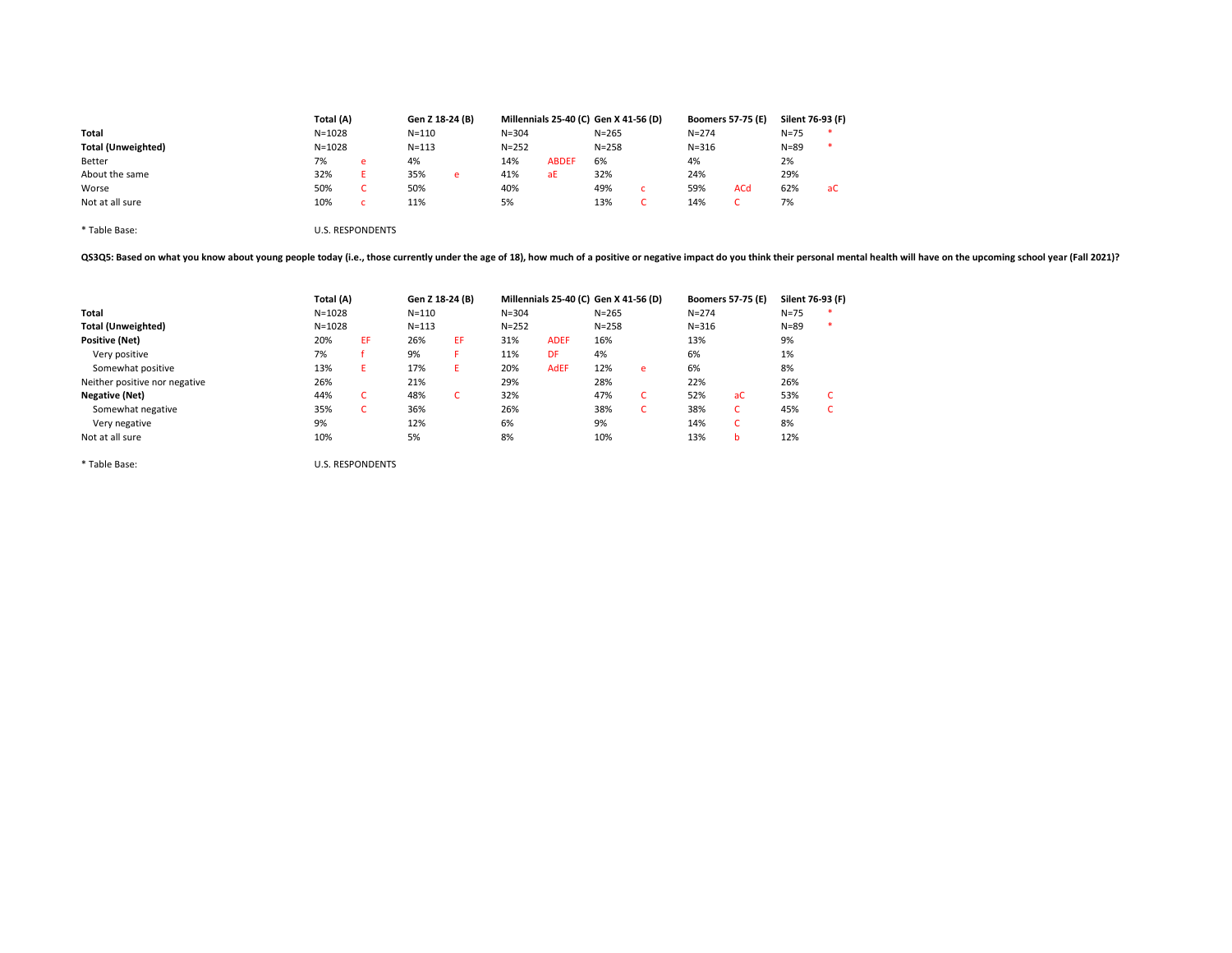|                           | Total (A)  |   |           | Gen Z 18-24 (B) |           | Millennials 25-40 (C) Gen X 41-56 (D) |           |           | <b>Boomers 57-75 (E)</b> | Silent 76-93 (F) |    |
|---------------------------|------------|---|-----------|-----------------|-----------|---------------------------------------|-----------|-----------|--------------------------|------------------|----|
| Total                     | $N = 1028$ |   | $N = 110$ |                 | $N = 304$ |                                       | $N = 265$ | $N = 274$ |                          | $N = 75$         |    |
| <b>Total (Unweighted)</b> | $N = 1028$ |   | $N = 113$ |                 | $N = 252$ |                                       | $N = 258$ | $N = 316$ |                          | $N = 89$         |    |
| Better                    | 7%         | e | 4%        |                 | 14%       | <b>ABDEF</b>                          | 6%        | 4%        |                          | 2%               |    |
| About the same            | 32%        |   | 35%       | e               | 41%       | aE                                    | 32%       | 24%       |                          | 29%              |    |
| Worse                     | 50%        |   | 50%       |                 | 40%       |                                       | 49%       | 59%       | <b>ACd</b>               | 62%              | aC |
| Not at all sure           | 10%        |   | 11%       |                 | 5%        |                                       | 13%       | 14%       |                          | 7%               |    |
|                           |            |   |           |                 |           |                                       |           |           |                          |                  |    |

\* Table Base: U.S. RESPONDENTS

QS3Q5: Based on what you know about young people today (i.e., those currently under the age of 18), how much of a positive or negative impact do you think their personal mental health will have on the upcoming school year

|                               | Total (A)  |                         |           | Gen Z 18-24 (B) |           | Millennials 25-40 (C) Gen X 41-56 (D) |           |    |           | <b>Boomers 57-75 (E)</b> | Silent 76-93 (F) |  |
|-------------------------------|------------|-------------------------|-----------|-----------------|-----------|---------------------------------------|-----------|----|-----------|--------------------------|------------------|--|
| Total                         | $N = 1028$ |                         | $N = 110$ |                 | $N = 304$ |                                       | $N = 265$ |    | $N = 274$ |                          | $N = 75$         |  |
| <b>Total (Unweighted)</b>     | $N = 1028$ |                         | $N = 113$ |                 | $N = 252$ |                                       | $N = 258$ |    | $N = 316$ |                          | $N = 89$         |  |
| <b>Positive (Net)</b>         | 20%        | EF.                     | 26%       | EF.             | 31%       | <b>ADEF</b>                           | 16%       |    | 13%       |                          | 9%               |  |
| Very positive                 | 7%         |                         | 9%        | F.              | 11%       | <b>DF</b>                             | 4%        |    | 6%        |                          | 1%               |  |
| Somewhat positive             | 13%        | Ε.                      | 17%       | Ε.              | 20%       | <b>AdEF</b>                           | 12%       | e  | 6%        |                          | 8%               |  |
| Neither positive nor negative | 26%        |                         | 21%       |                 | 29%       |                                       | 28%       |    | 22%       |                          | 26%              |  |
| Negative (Net)                | 44%        | c                       | 48%       | C.              | 32%       |                                       | 47%       | C  | 52%       | aC                       | 53%              |  |
| Somewhat negative             | 35%        | c                       | 36%       |                 | 26%       |                                       | 38%       | τ. | 38%       | c                        | 45%              |  |
| Very negative                 | 9%         |                         | 12%       |                 | 6%        |                                       | 9%        |    | 14%       | c                        | 8%               |  |
| Not at all sure               | 10%        |                         | 5%        |                 | 8%        |                                       | 10%       |    | 13%       | b                        | 12%              |  |
| * Table Base:                 |            | <b>U.S. RESPONDENTS</b> |           |                 |           |                                       |           |    |           |                          |                  |  |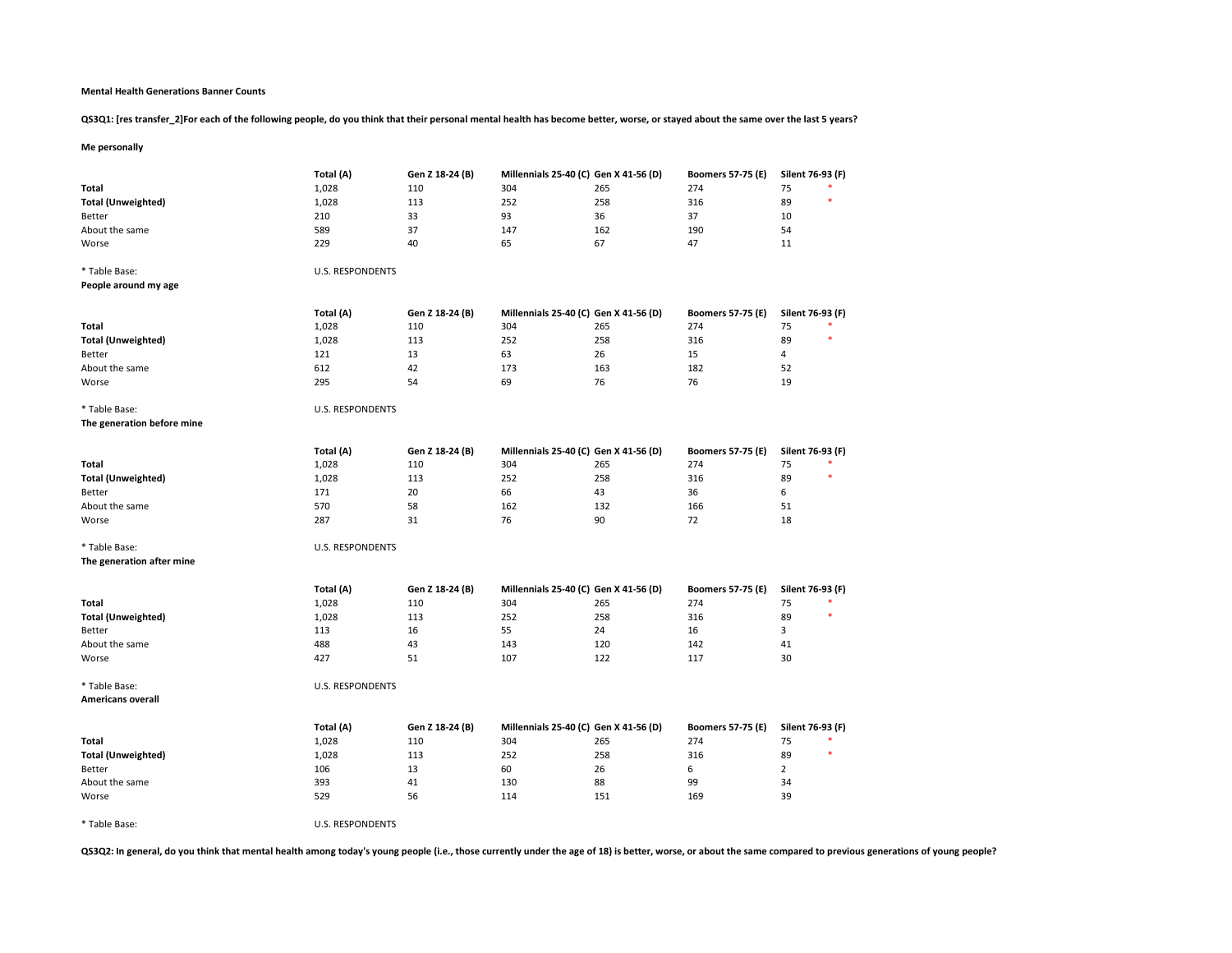## Mental Health Generations Banner Counts

QS3Q1: [res transfer\_2]For each of the following people, do you think that their personal mental health has become better, worse, or stayed about the same over the last 5 years?

# Me personally

|                            | Total (A)               | Gen Z 18-24 (B) | Millennials 25-40 (C) Gen X 41-56 (D) |     | <b>Boomers 57-75 (E)</b> | Silent 76-93 (F) |
|----------------------------|-------------------------|-----------------|---------------------------------------|-----|--------------------------|------------------|
| Total                      | 1,028                   | 110             | 304                                   | 265 | 274                      | 75               |
| <b>Total (Unweighted)</b>  | 1,028                   | 113             | 252                                   | 258 | 316                      | 89               |
| Better                     | 210                     | 33              | 93                                    | 36  | 37                       | 10               |
| About the same             | 589                     | 37              | 147                                   | 162 | 190                      | 54               |
| Worse                      | 229                     | 40              | 65                                    | 67  | 47                       | 11               |
|                            |                         |                 |                                       |     |                          |                  |
| * Table Base:              | U.S. RESPONDENTS        |                 |                                       |     |                          |                  |
| People around my age       |                         |                 |                                       |     |                          |                  |
|                            |                         |                 |                                       |     |                          |                  |
|                            | Total (A)               | Gen Z 18-24 (B) | Millennials 25-40 (C) Gen X 41-56 (D) |     | <b>Boomers 57-75 (E)</b> | Silent 76-93 (F) |
| Total                      | 1,028                   | 110             | 304                                   | 265 | 274                      | 75               |
| <b>Total (Unweighted)</b>  | 1,028                   | 113             | 252                                   | 258 | 316                      | 89               |
| Better                     | 121                     | 13              | 63                                    | 26  | 15                       | $\overline{4}$   |
| About the same             | 612                     | 42              | 173                                   | 163 | 182                      | 52               |
| Worse                      | 295                     | 54              | 69                                    | 76  | 76                       | 19               |
|                            |                         |                 |                                       |     |                          |                  |
| * Table Base:              | <b>U.S. RESPONDENTS</b> |                 |                                       |     |                          |                  |
| The generation before mine |                         |                 |                                       |     |                          |                  |
|                            | Total (A)               | Gen Z 18-24 (B) | Millennials 25-40 (C) Gen X 41-56 (D) |     | <b>Boomers 57-75 (E)</b> | Silent 76-93 (F) |
| Total                      | 1,028                   | 110             | 304                                   | 265 | 274                      | 75               |
|                            | 1,028                   | 113             | 252                                   | 258 | 316                      | 89               |
| <b>Total (Unweighted)</b>  |                         |                 |                                       |     |                          |                  |
| Better                     | 171                     | 20              | 66                                    | 43  | 36                       | 6                |
| About the same             | 570                     | 58              | 162                                   | 132 | 166                      | 51               |
| Worse                      | 287                     | 31              | 76                                    | 90  | 72                       | 18               |
| * Table Base:              | <b>U.S. RESPONDENTS</b> |                 |                                       |     |                          |                  |
| The generation after mine  |                         |                 |                                       |     |                          |                  |
|                            |                         |                 |                                       |     |                          |                  |
|                            | Total (A)               | Gen Z 18-24 (B) | Millennials 25-40 (C) Gen X 41-56 (D) |     | <b>Boomers 57-75 (E)</b> | Silent 76-93 (F) |
| Total                      | 1,028                   | 110             | 304                                   | 265 | 274                      | 75               |
| <b>Total (Unweighted)</b>  | 1,028                   | 113             | 252                                   | 258 | 316                      | 89<br>٠          |
| Better                     | 113                     | 16              | 55                                    | 24  | 16                       | 3                |
| About the same             | 488                     | 43              | 143                                   | 120 | 142                      | 41               |
| Worse                      | 427                     | 51              | 107                                   | 122 | 117                      | 30               |
|                            |                         |                 |                                       |     |                          |                  |
| * Table Base:              | U.S. RESPONDENTS        |                 |                                       |     |                          |                  |
| <b>Americans overall</b>   |                         |                 |                                       |     |                          |                  |
|                            |                         |                 |                                       |     |                          |                  |
|                            | Total (A)               | Gen Z 18-24 (B) | Millennials 25-40 (C) Gen X 41-56 (D) |     | <b>Boomers 57-75 (E)</b> | Silent 76-93 (F) |
| Total                      | 1,028                   | 110             | 304                                   | 265 | 274                      | 75               |
| <b>Total (Unweighted)</b>  | 1,028                   | 113             | 252                                   | 258 | 316                      | 89               |
| Better                     | 106                     | 13              | 60                                    | 26  | 6                        | $\overline{2}$   |
| About the same             | 393                     | 41              | 130                                   | 88  | 99                       | 34               |
| Worse                      | 529                     | 56              | 114                                   | 151 | 169                      | 39               |
|                            |                         |                 |                                       |     |                          |                  |
| * Table Base:              | U.S. RESPONDENTS        |                 |                                       |     |                          |                  |

QS3Q2: In general, do you think that mental health among today's young people (i.e., those currently under the age of 18) is better, worse, or about the same compared to previous generations of young people?